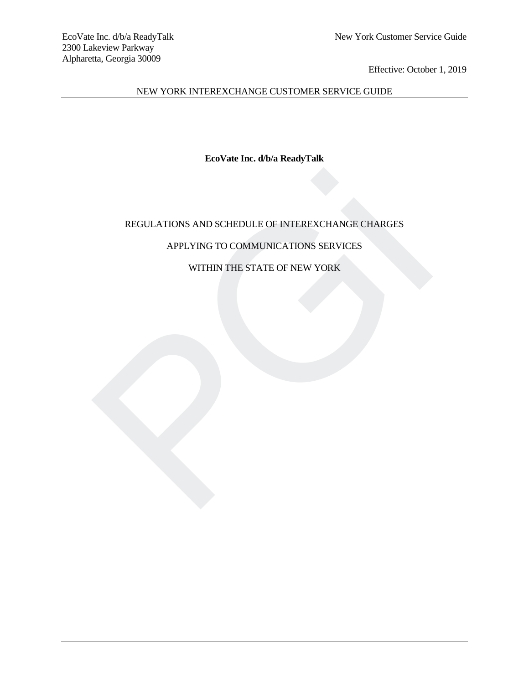NEW YORK INTEREXCHANGE CUSTOMER SERVICE GUIDE

**EcoVate Inc. d/b/a ReadyTalk**

# REGULATIONS AND SCHEDULE OF INTEREXCHANGE CHARGES REGULATIONS AND SCHEDULE OF INTEREXCHANGE CHARGES<br>APPLYING TO COMMUNICATIONS SERVICES<br>WITHIN THE STATE OF NEW YORK

# APPLYING TO COMMUNICATIONS SERVICES

# WITHIN THE STATE OF NEW YORK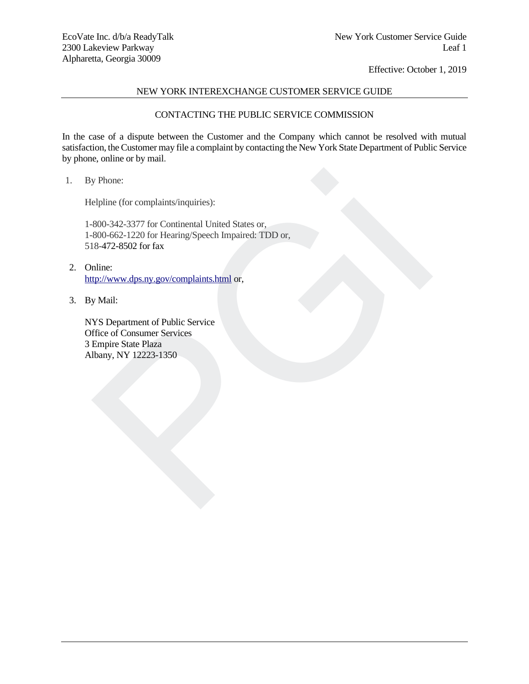# NEW YORK INTEREXCHANGE CUSTOMER SERVICE GUIDE

# CONTACTING THE PUBLIC SERVICE COMMISSION

In the case of a dispute between the Customer and the Company which cannot be resolved with mutual satisfaction, the Customer may file a complaint by contacting the New York State Department of Public Service by phone, online or by mail.

1. By Phone:

Helpline (for complaints/inquiries):

1-800-342-3377 for Continental United States or, 1-800-662-1220 for Hearing/Speech Impaired: TDD or, 518-472-8502 for fax y Phone:<br>
elpline (for complaints/inquiries):<br>
800-342-3377 for Continental United States or,<br>
800-662-1220 for Hearing/Speech Impaired: TDD or,<br>
18-472-8502 for fax<br>
philip:<br>
philosof Consumer Services<br>
The philosof Consu

- 2. Online: http://www.dps.ny.gov/complaints.html or,
- 3. By Mail:

NYS Department of Public Service Office of Consumer Services 3 Empire State Plaza Albany, NY 12223-1350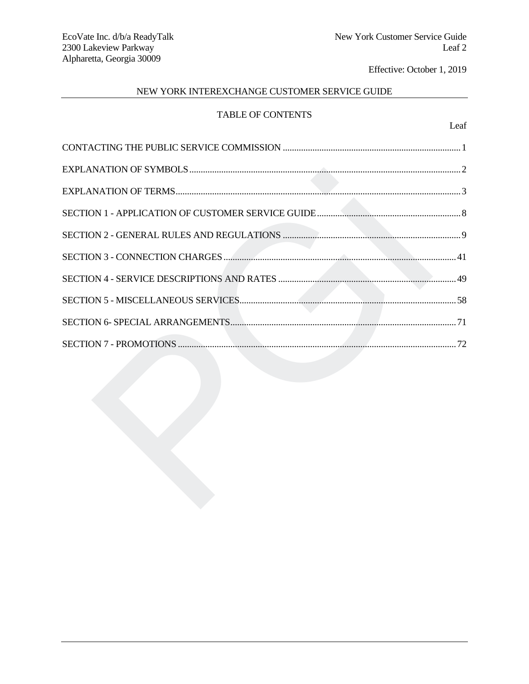Leaf

# NEW YORK INTEREXCHANGE CUSTOMER SERVICE GUIDE

# TABLE OF CONTENTS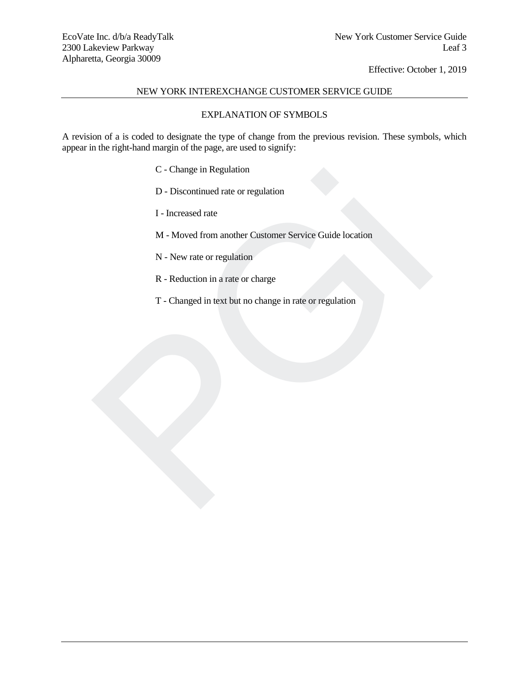# NEW YORK INTEREXCHANGE CUSTOMER SERVICE GUIDE

# EXPLANATION OF SYMBOLS

A revision of a is coded to designate the type of change from the previous revision. These symbols, which appear in the right-hand margin of the page, are used to signify:

- C Change in Regulation
- D Discontinued rate or regulation
- I Increased rate
- M Moved from another Customer Service Guide location C - Change in Regulation<br>
D - Discontinued rate or regulation<br>
I - Increased rate<br>
M - Moved from another Customer Service Guide location<br>
N - New rate or regulation<br>
R - Reduction in a rate or charge<br>
T - Changed in text
	- N New rate or regulation
	- R Reduction in a rate or charge
	- T Changed in text but no change in rate or regulation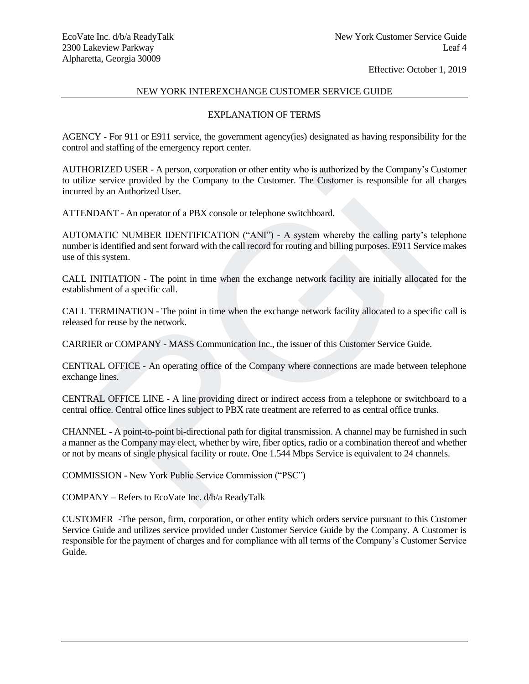# NEW YORK INTEREXCHANGE CUSTOMER SERVICE GUIDE

# EXPLANATION OF TERMS

AGENCY - For 911 or E911 service, the government agency(ies) designated as having responsibility for the control and staffing of the emergency report center.

AUTHORIZED USER - A person, corporation or other entity who is authorized by the Company's Customer to utilize service provided by the Company to the Customer. The Customer is responsible for all charges incurred by an Authorized User.

ATTENDANT - An operator of a PBX console or telephone switchboard.

AUTOMATIC NUMBER IDENTIFICATION ("ANI") - A system whereby the calling party's telephone number is identified and sent forward with the call record for routing and billing purposes. E911 Service makes use of this system. DRIZED USER - A person, corporation or other entity who is authorized by the Company's C<br>PRIZED USER - A person, corporation or other clusteriner. The Customer is responsible for al<br>Hydra DANT - An operator of a PBX conso

CALL INITIATION - The point in time when the exchange network facility are initially allocated for the establishment of a specific call.

CALL TERMINATION - The point in time when the exchange network facility allocated to a specific call is released for reuse by the network.

CARRIER or COMPANY - MASS Communication Inc., the issuer of this Customer Service Guide.

CENTRAL OFFICE - An operating office of the Company where connections are made between telephone exchange lines.

CENTRAL OFFICE LINE - A line providing direct or indirect access from a telephone or switchboard to a central office. Central office lines subject to PBX rate treatment are referred to as central office trunks.

CHANNEL - A point-to-point bi-directional path for digital transmission. A channel may be furnished in such a manner as the Company may elect, whether by wire, fiber optics, radio or a combination thereof and whether or not by means of single physical facility or route. One 1.544 Mbps Service is equivalent to 24 channels.

COMMISSION - New York Public Service Commission ("PSC")

COMPANY – Refers to EcoVate Inc. d/b/a ReadyTalk

CUSTOMER -The person, firm, corporation, or other entity which orders service pursuant to this Customer Service Guide and utilizes service provided under Customer Service Guide by the Company. A Customer is responsible for the payment of charges and for compliance with all terms of the Company's Customer Service Guide.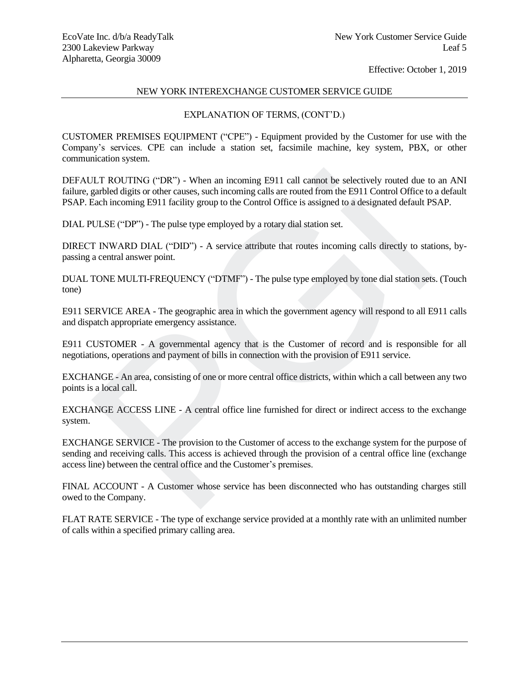## NEW YORK INTEREXCHANGE CUSTOMER SERVICE GUIDE

## EXPLANATION OF TERMS, (CONT'D.)

CUSTOMER PREMISES EQUIPMENT ("CPE") - Equipment provided by the Customer for use with the Company's services. CPE can include a station set, facsimile machine, key system, PBX, or other communication system.

DEFAULT ROUTING ("DR") - When an incoming E911 call cannot be selectively routed due to an ANI failure, garbled digits or other causes, such incoming calls are routed from the E911 Control Office to a default PSAP. Each incoming E911 facility group to the Control Office is assigned to a designated default PSAP.

DIAL PULSE ("DP") - The pulse type employed by a rotary dial station set.

DIRECT INWARD DIAL ("DID") - A service attribute that routes incoming calls directly to stations, bypassing a central answer point.

DUAL TONE MULTI-FREQUENCY ("DTMF") - The pulse type employed by tone dial station sets. (Touch tone)

E911 SERVICE AREA - The geographic area in which the government agency will respond to all E911 calls and dispatch appropriate emergency assistance.

E911 CUSTOMER - A governmental agency that is the Customer of record and is responsible for all negotiations, operations and payment of bills in connection with the provision of E911 service.

EXCHANGE - An area, consisting of one or more central office districts, within which a call between any two points is a local call.

EXCHANGE ACCESS LINE - A central office line furnished for direct or indirect access to the exchange system.

EXCHANGE SERVICE - The provision to the Customer of access to the exchange system for the purpose of sending and receiving calls. This access is achieved through the provision of a central office line (exchange access line) between the central office and the Customer's premises. JLT ROUTING ("DR") - When an incoming E911 call cannot be selectively routed due to<br>garbled digits or other causes, such incoming calls are routed from the E911 Control Office to<br>Each incoming E911 facility group to the Co

FINAL ACCOUNT - A Customer whose service has been disconnected who has outstanding charges still owed to the Company.

FLAT RATE SERVICE - The type of exchange service provided at a monthly rate with an unlimited number of calls within a specified primary calling area.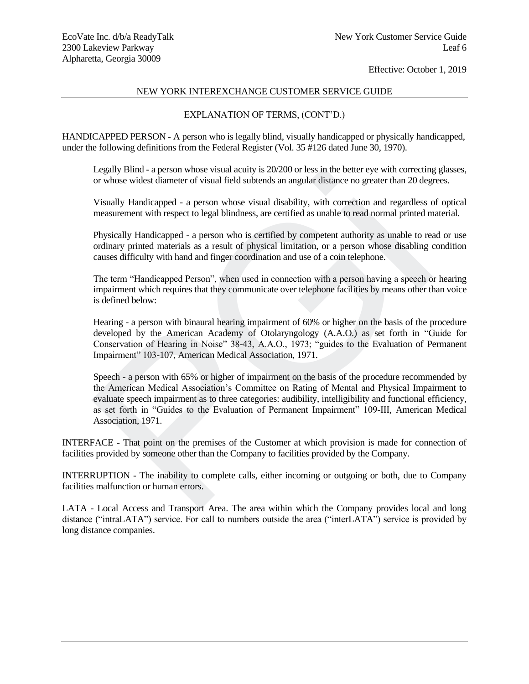## NEW YORK INTEREXCHANGE CUSTOMER SERVICE GUIDE

# EXPLANATION OF TERMS, (CONT'D.)

HANDICAPPED PERSON - A person who is legally blind, visually handicapped or physically handicapped, under the following definitions from the Federal Register (Vol. 35 #126 dated June 30, 1970).

Legally Blind - a person whose visual acuity is 20/200 or less in the better eye with correcting glasses, or whose widest diameter of visual field subtends an angular distance no greater than 20 degrees.

Visually Handicapped - a person whose visual disability, with correction and regardless of optical measurement with respect to legal blindness, are certified as unable to read normal printed material.

Physically Handicapped - a person who is certified by competent authority as unable to read or use ordinary printed materials as a result of physical limitation, or a person whose disabling condition causes difficulty with hand and finger coordination and use of a coin telephone.

The term "Handicapped Person", when used in connection with a person having a speech or hearing impairment which requires that they communicate over telephone facilities by means other than voice is defined below:

Hearing - a person with binaural hearing impairment of 60% or higher on the basis of the procedure developed by the American Academy of Otolaryngology (A.A.O.) as set forth in "Guide for Conservation of Hearing in Noise" 38-43, A.A.O., 1973; "guides to the Evaluation of Permanent Impairment" 103-107, American Medical Association, 1971.

Speech - a person with 65% or higher of impairment on the basis of the procedure recommended by the American Medical Association's Committee on Rating of Mental and Physical Impairment to evaluate speech impairment as to three categories: audibility, intelligibility and functional efficiency, as set forth in "Guides to the Evaluation of Permanent Impairment" 109-III, American Medical Association, 1971. Legally Bind - a person whose visual actury is 20/200 or less in the better eye wint correcting<br>cor whose widest diameter of visual field subtends an angular distance no greater than 20 deg<br>Visually Handicapped - a person

INTERFACE - That point on the premises of the Customer at which provision is made for connection of facilities provided by someone other than the Company to facilities provided by the Company.

INTERRUPTION - The inability to complete calls, either incoming or outgoing or both, due to Company facilities malfunction or human errors.

LATA - Local Access and Transport Area. The area within which the Company provides local and long distance ("intraLATA") service. For call to numbers outside the area ("interLATA") service is provided by long distance companies.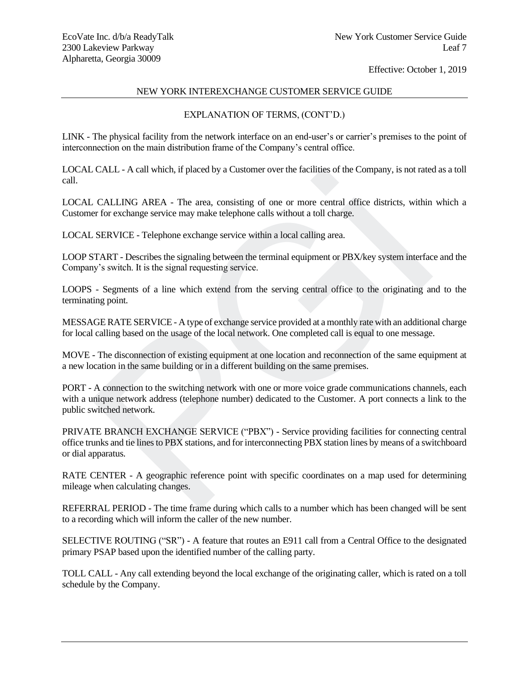# NEW YORK INTEREXCHANGE CUSTOMER SERVICE GUIDE

# EXPLANATION OF TERMS, (CONT'D.)

LINK - The physical facility from the network interface on an end-user's or carrier's premises to the point of interconnection on the main distribution frame of the Company's central office.

LOCAL CALL - A call which, if placed by a Customer over the facilities of the Company, is not rated as a toll call.

LOCAL CALLING AREA - The area, consisting of one or more central office districts, within which a Customer for exchange service may make telephone calls without a toll charge.

LOCAL SERVICE - Telephone exchange service within a local calling area.

LOOP START - Describes the signaling between the terminal equipment or PBX/key system interface and the Company's switch. It is the signal requesting service.

LOOPS - Segments of a line which extend from the serving central office to the originating and to the terminating point.

MESSAGE RATE SERVICE - A type of exchange service provided at a monthly rate with an additional charge for local calling based on the usage of the local network. One completed call is equal to one message.

MOVE - The disconnection of existing equipment at one location and reconnection of the same equipment at a new location in the same building or in a different building on the same premises.

PORT - A connection to the switching network with one or more voice grade communications channels, each with a unique network address (telephone number) dedicated to the Customer. A port connects a link to the public switched network. CALLING AREA - The area, consisting of one or more central office districts, within<br>
refore CALLING AREA - The area, consisting of one or more central office districts, within<br>
er for exchange service may make telephone ca

PRIVATE BRANCH EXCHANGE SERVICE ("PBX") - Service providing facilities for connecting central office trunks and tie lines to PBX stations, and for interconnecting PBX station lines by means of a switchboard or dial apparatus.

RATE CENTER - A geographic reference point with specific coordinates on a map used for determining mileage when calculating changes.

REFERRAL PERIOD - The time frame during which calls to a number which has been changed will be sent to a recording which will inform the caller of the new number.

SELECTIVE ROUTING ("SR") - A feature that routes an E911 call from a Central Office to the designated primary PSAP based upon the identified number of the calling party.

TOLL CALL - Any call extending beyond the local exchange of the originating caller, which is rated on a toll schedule by the Company.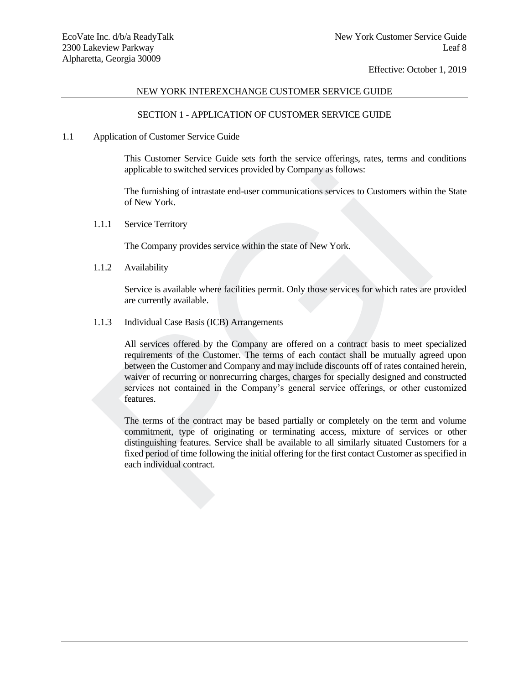## NEW YORK INTEREXCHANGE CUSTOMER SERVICE GUIDE

## SECTION 1 - APPLICATION OF CUSTOMER SERVICE GUIDE

#### 1.1 Application of Customer Service Guide

This Customer Service Guide sets forth the service offerings, rates, terms and conditions applicable to switched services provided by Company as follows:

The furnishing of intrastate end-user communications services to Customers within the State of New York.

1.1.1 Service Territory

The Company provides service within the state of New York.

1.1.2 Availability

Service is available where facilities permit. Only those services for which rates are provided are currently available.

1.1.3 Individual Case Basis (ICB) Arrangements

All services offered by the Company are offered on a contract basis to meet specialized requirements of the Customer. The terms of each contact shall be mutually agreed upon between the Customer and Company and may include discounts off of rates contained herein, waiver of recurring or nonrecurring charges, charges for specially designed and constructed services not contained in the Company's general service offerings, or other customized features. applicable to switched services provided by Company as follows:<br>
The furnishing of intrastate end-user communications services to Customers within<br>
of New York.<br>
1.1.1 Service Territory<br>
The Company provides service within

The terms of the contract may be based partially or completely on the term and volume commitment, type of originating or terminating access, mixture of services or other distinguishing features. Service shall be available to all similarly situated Customers for a fixed period of time following the initial offering for the first contact Customer as specified in each individual contract.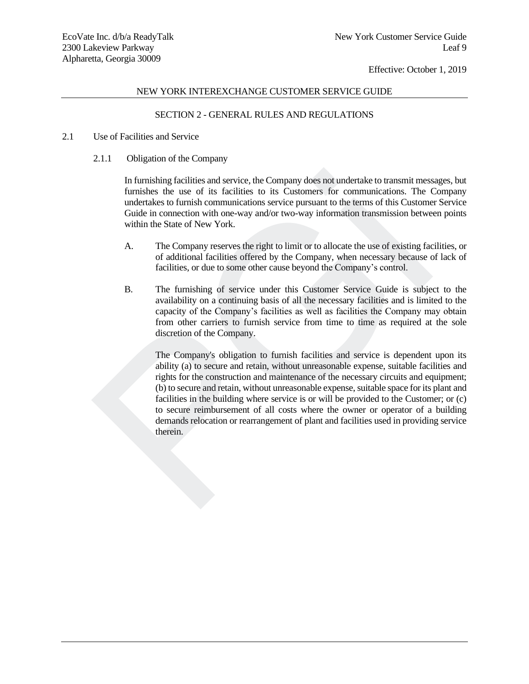## NEW YORK INTEREXCHANGE CUSTOMER SERVICE GUIDE

# SECTION 2 - GENERAL RULES AND REGULATIONS

## 2.1 Use of Facilities and Service

2.1.1 Obligation of the Company

In furnishing facilities and service, the Company does not undertake to transmit messages, but furnishes the use of its facilities to its Customers for communications. The Company undertakes to furnish communications service pursuant to the terms of this Customer Service Guide in connection with one-way and/or two-way information transmission between points within the State of New York.

- A. The Company reserves the right to limit or to allocate the use of existing facilities, or of additional facilities offered by the Company, when necessary because of lack of facilities, or due to some other cause beyond the Company's control.
- B. The furnishing of service under this Customer Service Guide is subject to the availability on a continuing basis of all the necessary facilities and is limited to the capacity of the Company's facilities as well as facilities the Company may obtain from other carriers to furnish service from time to time as required at the sole discretion of the Company.

The Company's obligation to furnish facilities and service is dependent upon its ability (a) to secure and retain, without unreasonable expense, suitable facilities and rights for the construction and maintenance of the necessary circuits and equipment; (b) to secure and retain, without unreasonable expense, suitable space for its plant and facilities in the building where service is or will be provided to the Customer; or (c) to secure reimbursement of all costs where the owner or operator of a building demands relocation or rearrangement of plant and facilities used in providing service therein. In furnishing facilities and service, the Company does not undertake to transmit mess<br>furnishes the use of its facilities to its Customers for communications. The the<br>dietakes to furnish communications service pursuant to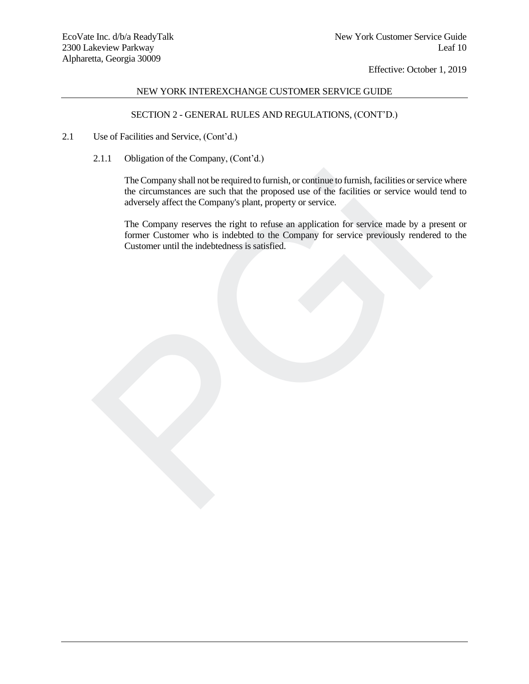# NEW YORK INTEREXCHANGE CUSTOMER SERVICE GUIDE

# SECTION 2 - GENERAL RULES AND REGULATIONS, (CONT'D.)

- 2.1 Use of Facilities and Service, (Cont'd.)
	- 2.1.1 Obligation of the Company, (Cont'd.)

The Company shall not be required to furnish, or continue to furnish, facilities or service where the circumstances are such that the proposed use of the facilities or service would tend to adversely affect the Company's plant, property or service. The Company shall not be required to furnish, or continue to furnish, facilities or service<br>the circumstances are such that the proposed use of the facilities or service would<br>adversely affect the Company splant, property

The Company reserves the right to refuse an application for service made by a present or former Customer who is indebted to the Company for service previously rendered to the Customer until the indebtedness is satisfied.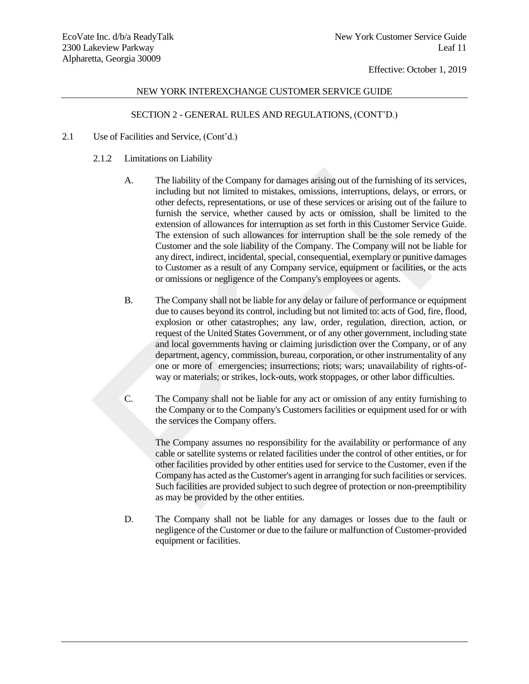# NEW YORK INTEREXCHANGE CUSTOMER SERVICE GUIDE

# SECTION 2 - GENERAL RULES AND REGULATIONS, (CONT'D.)

- 2.1 Use of Facilities and Service, (Cont'd.)
	- 2.1.2 Limitations on Liability
	- A. The liability of the Company for damages arising out of the furnishing of its services, including but not limited to mistakes, omissions, interruptions, delays, or errors, or other defects, representations, or use of these services or arising out of the failure to furnish the service, whether caused by acts or omission, shall be limited to the extension of allowances for interruption as set forth in this Customer Service Guide. The extension of such allowances for interruption shall be the sole remedy of the Customer and the sole liability of the Company. The Company will not be liable for any direct, indirect, incidental, special, consequential, exemplary or punitive damages to Customer as a result of any Company service, equipment or facilities, or the acts or omissions or negligence of the Company's employees or agents. A. The liability of the Company for damages arising out of the furnishing of its including but not limited to mistakes, omissions, interruptions, delays, or other effects, representations, or use of these services or arisi
		- B. The Company shall not be liable for any delay or failure of performance or equipment due to causes beyond its control, including but not limited to: acts of God, fire, flood, explosion or other catastrophes; any law, order, regulation, direction, action, or request of the United States Government, or of any other government, including state and local governments having or claiming jurisdiction over the Company, or of any department, agency, commission, bureau, corporation, or other instrumentality of any one or more of emergencies; insurrections; riots; wars; unavailability of rights-ofway or materials; or strikes, lock-outs, work stoppages, or other labor difficulties.
		- C. The Company shall not be liable for any act or omission of any entity furnishing to the Company or to the Company's Customers facilities or equipment used for or with the services the Company offers.

The Company assumes no responsibility for the availability or performance of any cable or satellite systems or related facilities under the control of other entities, or for other facilities provided by other entities used for service to the Customer, even if the Company has acted as the Customer's agent in arranging for such facilities or services. Such facilities are provided subject to such degree of protection or non-preemptibility as may be provided by the other entities.

D. The Company shall not be liable for any damages or losses due to the fault or negligence of the Customer or due to the failure or malfunction of Customer-provided equipment or facilities.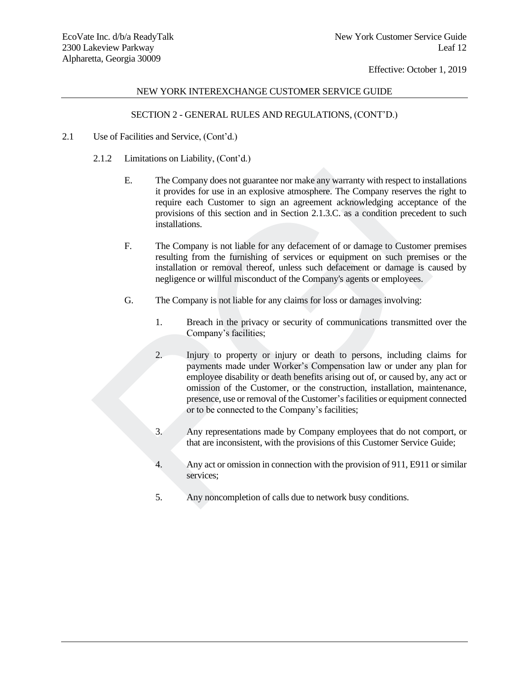# NEW YORK INTEREXCHANGE CUSTOMER SERVICE GUIDE

# SECTION 2 - GENERAL RULES AND REGULATIONS, (CONT'D.)

- 2.1 Use of Facilities and Service, (Cont'd.)
	- 2.1.2 Limitations on Liability, (Cont'd.)
		- E. The Company does not guarantee nor make any warranty with respect to installations it provides for use in an explosive atmosphere. The Company reserves the right to require each Customer to sign an agreement acknowledging acceptance of the provisions of this section and in Section 2.1.3.C. as a condition precedent to such installations.
		- F. The Company is not liable for any defacement of or damage to Customer premises resulting from the furnishing of services or equipment on such premises or the installation or removal thereof, unless such defacement or damage is caused by negligence or willful misconduct of the Company's agents or employees.
		- G. The Company is not liable for any claims for loss or damages involving:
			- 1. Breach in the privacy or security of communications transmitted over the Company's facilities;
	- 2. Injury to property or injury or death to persons, including claims for payments made under Worker's Compensation law or under any plan for employee disability or death benefits arising out of, or caused by, any act or omission of the Customer, or the construction, installation, maintenance, presence, use or removal of the Customer's facilities or equipment connected or to be connected to the Company's facilities; Factorial in the company does not guarantee nor make any warranty with respect to instruct the curre contract constant reachest company reserves that provisions of this section and in Section 2.1.3.C. as a condition prece
		- 3. Any representations made by Company employees that do not comport, or that are inconsistent, with the provisions of this Customer Service Guide;
		- 4. Any act or omission in connection with the provision of 911, E911 or similar services;
		- 5. Any noncompletion of calls due to network busy conditions.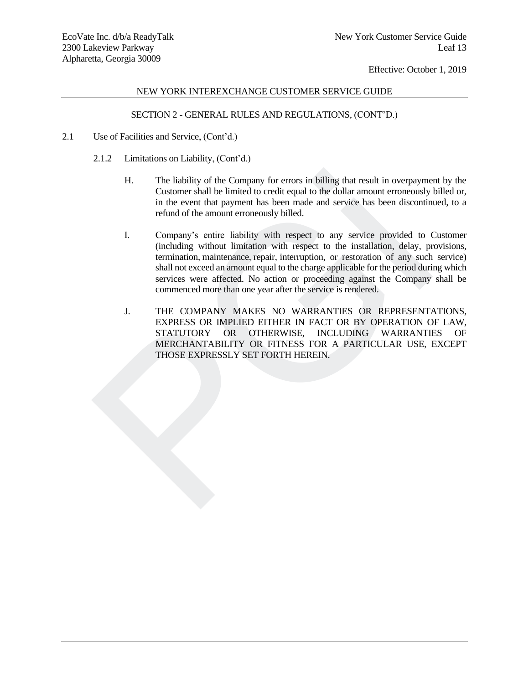# NEW YORK INTEREXCHANGE CUSTOMER SERVICE GUIDE

# SECTION 2 - GENERAL RULES AND REGULATIONS, (CONT'D.)

- 2.1 Use of Facilities and Service, (Cont'd.)
	- 2.1.2 Limitations on Liability, (Cont'd.)
		- H. The liability of the Company for errors in billing that result in overpayment by the Customer shall be limited to credit equal to the dollar amount erroneously billed or, in the event that payment has been made and service has been discontinued, to a refund of the amount erroneously billed.
	- I. Company's entire liability with respect to any service provided to Customer (including without limitation with respect to the installation, delay, provisions, termination, maintenance, repair, interruption, or restoration of any such service) shall not exceed an amount equal to the charge applicable for the period during which services were affected. No action or proceeding against the Company shall be commenced more than one year after the service is rendered. H. The liability of the Company for errors in billing that result in overpayme<br>
	Customer shall be limited to credit equal to the dollar amount erroneously<br>
	in the event that payment has been made and service has been disco
		- J. THE COMPANY MAKES NO WARRANTIES OR REPRESENTATIONS, EXPRESS OR IMPLIED EITHER IN FACT OR BY OPERATION OF LAW, STATUTORY OR OTHERWISE, INCLUDING WARRANTIES OF MERCHANTABILITY OR FITNESS FOR A PARTICULAR USE, EXCEPT THOSE EXPRESSLY SET FORTH HEREIN.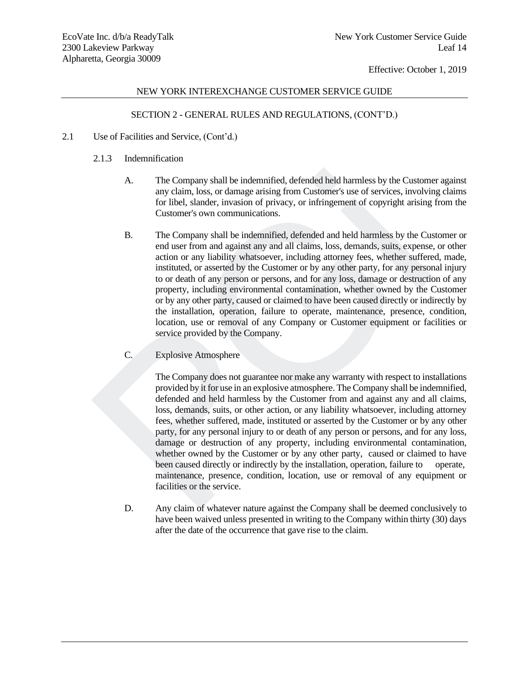# NEW YORK INTEREXCHANGE CUSTOMER SERVICE GUIDE

# SECTION 2 - GENERAL RULES AND REGULATIONS, (CONT'D.)

- 2.1 Use of Facilities and Service, (Cont'd.)
	- 2.1.3 Indemnification
		- A. The Company shall be indemnified, defended held harmless by the Customer against any claim, loss, or damage arising from Customer's use of services, involving claims for libel, slander, invasion of privacy, or infringement of copyright arising from the Customer's own communications.
	- B. The Company shall be indemnified, defended and held harmless by the Customer or end user from and against any and all claims, loss, demands, suits, expense, or other action or any liability whatsoever, including attorney fees, whether suffered, made, instituted, or asserted by the Customer or by any other party, for any personal injury to or death of any person or persons, and for any loss, damage or destruction of any property, including environmental contamination, whether owned by the Customer or by any other party, caused or claimed to have been caused directly or indirectly by the installation, operation, failure to operate, maintenance, presence, condition, location, use or removal of any Company or Customer equipment or facilities or service provided by the Company. A. The Company shall be indemnified, defended held harmless by the Custom<br>any claim, loss, or damage arising from Customer's use of services, involvir<br>for libel, slander, invasion of privacy, or infringement of copyright a
		- C. Explosive Atmosphere

The Company does not guarantee nor make any warranty with respect to installations provided by it for use in an explosive atmosphere. The Company shall be indemnified, defended and held harmless by the Customer from and against any and all claims, loss, demands, suits, or other action, or any liability whatsoever, including attorney fees, whether suffered, made, instituted or asserted by the Customer or by any other party, for any personal injury to or death of any person or persons, and for any loss, damage or destruction of any property, including environmental contamination, whether owned by the Customer or by any other party, caused or claimed to have been caused directly or indirectly by the installation, operation, failure to operate, maintenance, presence, condition, location, use or removal of any equipment or facilities or the service.

D. Any claim of whatever nature against the Company shall be deemed conclusively to have been waived unless presented in writing to the Company within thirty (30) days after the date of the occurrence that gave rise to the claim.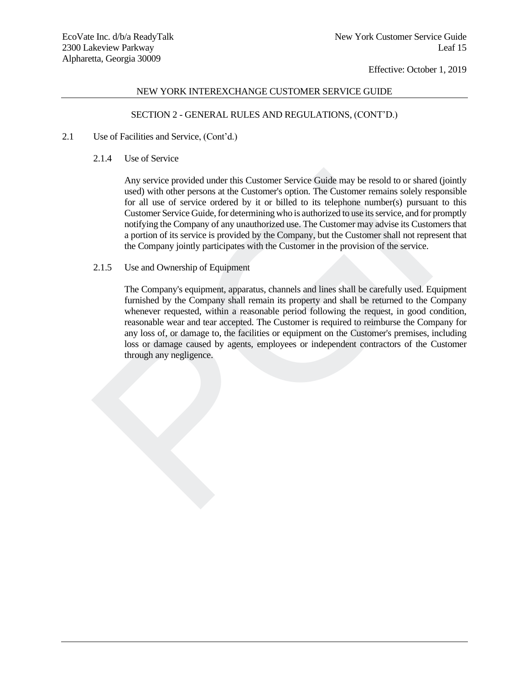# NEW YORK INTEREXCHANGE CUSTOMER SERVICE GUIDE

# SECTION 2 - GENERAL RULES AND REGULATIONS, (CONT'D.)

- 2.1 Use of Facilities and Service, (Cont'd.)
	- 2.1.4 Use of Service

Any service provided under this Customer Service Guide may be resold to or shared (jointly used) with other persons at the Customer's option. The Customer remains solely responsible for all use of service ordered by it or billed to its telephone number(s) pursuant to this Customer Service Guide, for determining who is authorized to use its service, and for promptly notifying the Company of any unauthorized use. The Customer may advise its Customers that a portion of its service is provided by the Company, but the Customer shall not represent that the Company jointly participates with the Customer in the provision of the service.

2.1.5 Use and Ownership of Equipment

The Company's equipment, apparatus, channels and lines shall be carefully used. Equipment furnished by the Company shall remain its property and shall be returned to the Company whenever requested, within a reasonable period following the request, in good condition, reasonable wear and tear accepted. The Customer is required to reimburse the Company for any loss of, or damage to, the facilities or equipment on the Customer's premises, including loss or damage caused by agents, employees or independent contractors of the Customer through any negligence. Any service provided under this Customer Service Guide may be resold to or share used) with other persons at the Customer, Sopion. The Customer remains solely reford luse of service ordered by it or bilded to its telephone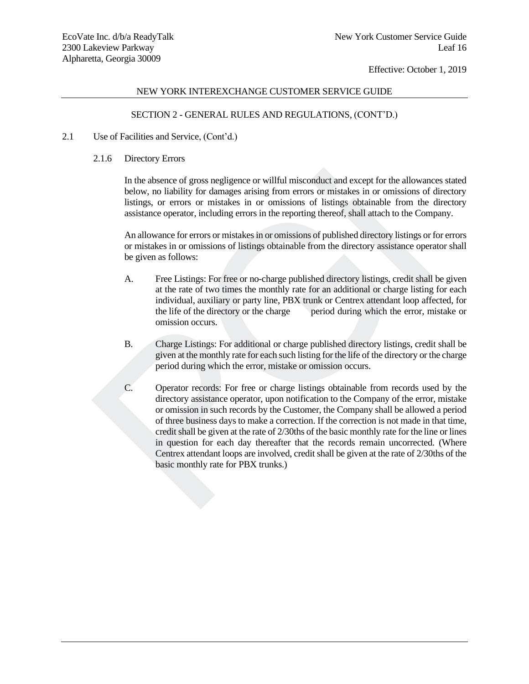## NEW YORK INTEREXCHANGE CUSTOMER SERVICE GUIDE

# SECTION 2 - GENERAL RULES AND REGULATIONS, (CONT'D.)

- 2.1 Use of Facilities and Service, (Cont'd.)
	- 2.1.6 Directory Errors

In the absence of gross negligence or willful misconduct and except for the allowances stated below, no liability for damages arising from errors or mistakes in or omissions of directory listings, or errors or mistakes in or omissions of listings obtainable from the directory assistance operator, including errors in the reporting thereof, shall attach to the Company.

An allowance for errors or mistakes in or omissions of published directory listings or for errors or mistakes in or omissions of listings obtainable from the directory assistance operator shall be given as follows:

- A. Free Listings: For free or no-charge published directory listings, credit shall be given at the rate of two times the monthly rate for an additional or charge listing for each individual, auxiliary or party line, PBX trunk or Centrex attendant loop affected, for the life of the directory or the charge period during which the error, mistake or omission occurs.
- B. Charge Listings: For additional or charge published directory listings, credit shall be given at the monthly rate for each such listing for the life of the directory or the charge period during which the error, mistake or omission occurs.
- C. Operator records: For free or charge listings obtainable from records used by the directory assistance operator, upon notification to the Company of the error, mistake or omission in such records by the Customer, the Company shall be allowed a period of three business days to make a correction. If the correction is not made in that time, credit shall be given at the rate of 2/30ths of the basic monthly rate for the line or lines in question for each day thereafter that the records remain uncorrected. (Where Centrex attendant loops are involved, credit shall be given at the rate of 2/30ths of the basic monthly rate for PBX trunks.) In the absence of gross negligence or will<br>ful misconduct and except for the allowance below, no liability for damages arising from errors or mistakes<br>in or omissions of listings or errors or mistakes in or comissions of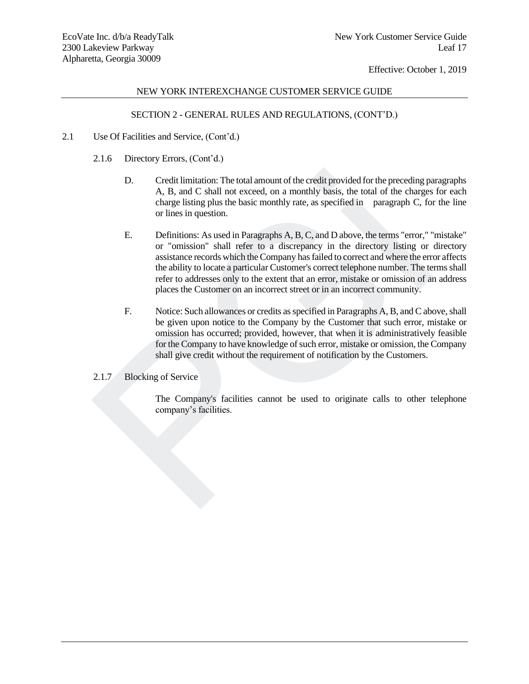## NEW YORK INTEREXCHANGE CUSTOMER SERVICE GUIDE

# SECTION 2 - GENERAL RULES AND REGULATIONS, (CONT'D.)

- 2.1 Use Of Facilities and Service, (Cont'd.)
	- 2.1.6 Directory Errors, (Cont'd.)
		- D. Credit limitation: The total amount of the credit provided for the preceding paragraphs A, B, and C shall not exceed, on a monthly basis, the total of the charges for each charge listing plus the basic monthly rate, as specified in paragraph C, for the line or lines in question.
	- E. Definitions: As used in Paragraphs A, B, C, and D above, the terms "error," "mistake" or "omission" shall refer to a discrepancy in the directory listing or directory assistance records which the Company has failed to correct and where the error affects the ability to locate a particular Customer's correct telephone number. The terms shall refer to addresses only to the extent that an error, mistake or omission of an address places the Customer on an incorrect street or in an incorrect community. D. Credit limitation: The total amount of the credit provided for the preceding p<br>
	A, B, and C shall not exceed, on a monthly basis, the total of the charges<br>
	charge listing plus the basic monthly rate, as specified in pa
		- F. Notice: Such allowances or credits as specified in Paragraphs A, B, and C above, shall be given upon notice to the Company by the Customer that such error, mistake or omission has occurred; provided, however, that when it is administratively feasible for the Company to have knowledge of such error, mistake or omission, the Company shall give credit without the requirement of notification by the Customers.
	- 2.1.7 Blocking of Service

The Company's facilities cannot be used to originate calls to other telephone company's facilities.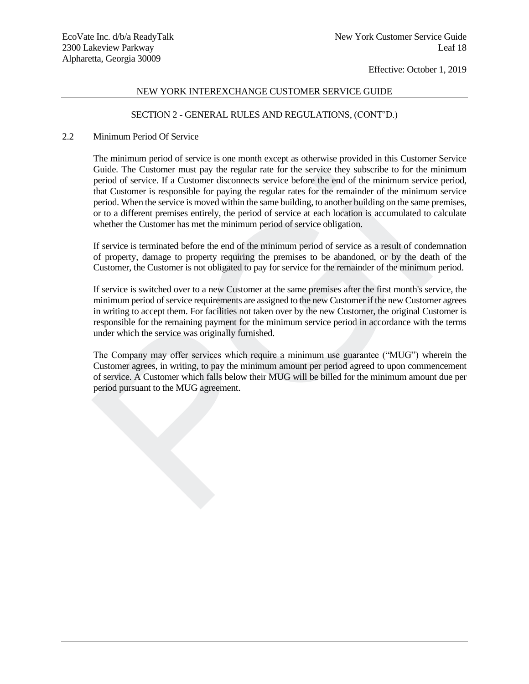# NEW YORK INTEREXCHANGE CUSTOMER SERVICE GUIDE

# SECTION 2 - GENERAL RULES AND REGULATIONS, (CONT'D.)

## 2.2 Minimum Period Of Service

The minimum period of service is one month except as otherwise provided in this Customer Service Guide. The Customer must pay the regular rate for the service they subscribe to for the minimum period of service. If a Customer disconnects service before the end of the minimum service period, that Customer is responsible for paying the regular rates for the remainder of the minimum service period. When the service is moved within the same building, to another building on the same premises, or to a different premises entirely, the period of service at each location is accumulated to calculate whether the Customer has met the minimum period of service obligation. Guide. In Eustomer must pay the regular rate for the service first content of the real of the minimum service of the real of service. If a Customer disconnects service before the end of the minimum service that Customer i

If service is terminated before the end of the minimum period of service as a result of condemnation of property, damage to property requiring the premises to be abandoned, or by the death of the Customer, the Customer is not obligated to pay for service for the remainder of the minimum period.

If service is switched over to a new Customer at the same premises after the first month's service, the minimum period of service requirements are assigned to the new Customer if the new Customer agrees in writing to accept them. For facilities not taken over by the new Customer, the original Customer is responsible for the remaining payment for the minimum service period in accordance with the terms under which the service was originally furnished.

The Company may offer services which require a minimum use guarantee ("MUG") wherein the Customer agrees, in writing, to pay the minimum amount per period agreed to upon commencement of service. A Customer which falls below their MUG will be billed for the minimum amount due per period pursuant to the MUG agreement.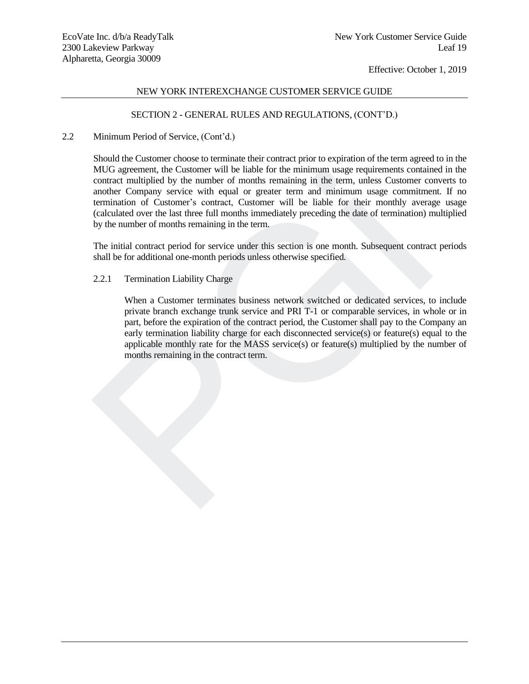## NEW YORK INTEREXCHANGE CUSTOMER SERVICE GUIDE

## SECTION 2 - GENERAL RULES AND REGULATIONS, (CONT'D.)

## 2.2 Minimum Period of Service, (Cont'd.)

Should the Customer choose to terminate their contract prior to expiration of the term agreed to in the MUG agreement, the Customer will be liable for the minimum usage requirements contained in the contract multiplied by the number of months remaining in the term, unless Customer converts to another Company service with equal or greater term and minimum usage commitment. If no termination of Customer's contract, Customer will be liable for their monthly average usage (calculated over the last three full months immediately preceding the date of termination) multiplied by the number of months remaining in the term. MUG agreement, the Customer will be latele to the muminum usage requirements contact multiplied by the number of months remaining in the term, unless Customer conduction of Customer's contact and minimum is more another Co

The initial contract period for service under this section is one month. Subsequent contract periods shall be for additional one-month periods unless otherwise specified.

## 2.2.1 Termination Liability Charge

When a Customer terminates business network switched or dedicated services, to include private branch exchange trunk service and PRI T-1 or comparable services, in whole or in part, before the expiration of the contract period, the Customer shall pay to the Company an early termination liability charge for each disconnected service(s) or feature(s) equal to the applicable monthly rate for the MASS service(s) or feature(s) multiplied by the number of months remaining in the contract term.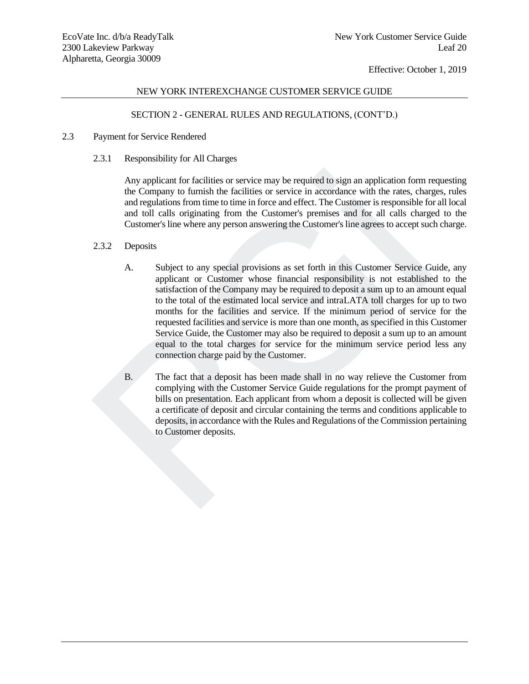## NEW YORK INTEREXCHANGE CUSTOMER SERVICE GUIDE

# SECTION 2 - GENERAL RULES AND REGULATIONS, (CONT'D.)

- 2.3 Payment for Service Rendered
	- 2.3.1 Responsibility for All Charges

Any applicant for facilities or service may be required to sign an application form requesting the Company to furnish the facilities or service in accordance with the rates, charges, rules and regulations from time to time in force and effect. The Customer is responsible for all local and toll calls originating from the Customer's premises and for all calls charged to the Customer's line where any person answering the Customer's line agrees to accept such charge.

#### 2.3.2 Deposits

- A. Subject to any special provisions as set forth in this Customer Service Guide, any applicant or Customer whose financial responsibility is not established to the satisfaction of the Company may be required to deposit a sum up to an amount equal to the total of the estimated local service and intraLATA toll charges for up to two months for the facilities and service. If the minimum period of service for the requested facilities and service is more than one month, as specified in this Customer Service Guide, the Customer may also be required to deposit a sum up to an amount equal to the total charges for service for the minimum service period less any connection charge paid by the Customer. Any applicant for facilities or service may be required to sign an application form represent to facilities or service in accordance with the rates, charged and equalitions from time to time in force and effect. The Custom
	- B. The fact that a deposit has been made shall in no way relieve the Customer from complying with the Customer Service Guide regulations for the prompt payment of bills on presentation. Each applicant from whom a deposit is collected will be given a certificate of deposit and circular containing the terms and conditions applicable to deposits, in accordance with the Rules and Regulations of the Commission pertaining to Customer deposits.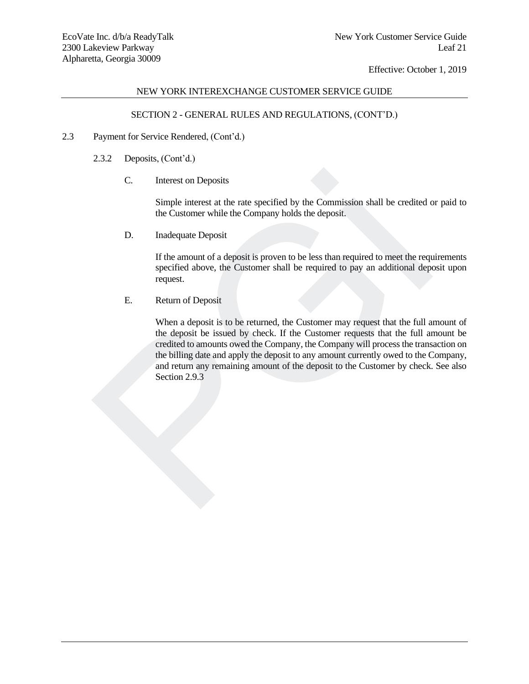# NEW YORK INTEREXCHANGE CUSTOMER SERVICE GUIDE

# SECTION 2 - GENERAL RULES AND REGULATIONS, (CONT'D.)

- 2.3 Payment for Service Rendered, (Cont'd.)
	- 2.3.2 Deposits, (Cont'd.)
		- C. Interest on Deposits

Simple interest at the rate specified by the Commission shall be credited or paid to the Customer while the Company holds the deposit.

D. Inadequate Deposit

If the amount of a deposit is proven to be less than required to meet the requirements specified above, the Customer shall be required to pay an additional deposit upon request.

E. Return of Deposit

When a deposit is to be returned, the Customer may request that the full amount of the deposit be issued by check. If the Customer requests that the full amount be credited to amounts owed the Company, the Company will process the transaction on the billing date and apply the deposit to any amount currently owed to the Company, and return any remaining amount of the deposit to the Customer by check. See also Section 2.9.3 C. Interest on Deposits<br>
Simple interest at the rate specified by the Commission shall be credited the Customer while the Company holds the deposit.<br>
D. Inadequate Deposit<br>
If the amount of a deposit is proven to be less t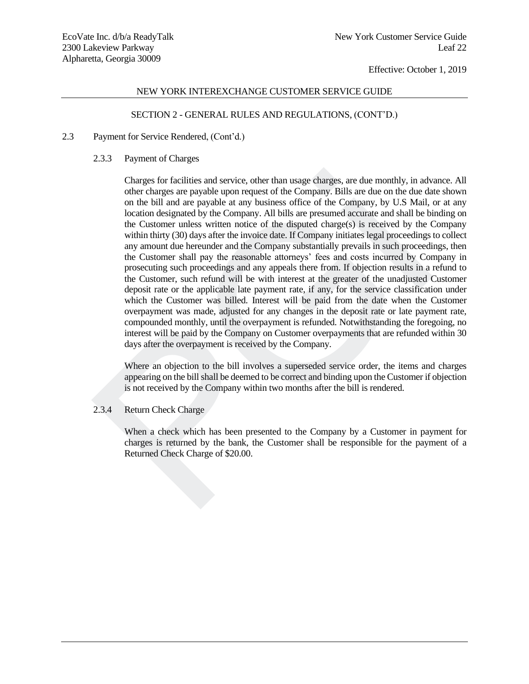## NEW YORK INTEREXCHANGE CUSTOMER SERVICE GUIDE

# SECTION 2 - GENERAL RULES AND REGULATIONS, (CONT'D.)

## 2.3 Payment for Service Rendered, (Cont'd.)

## 2.3.3 Payment of Charges

Charges for facilities and service, other than usage charges, are due monthly, in advance. All other charges are payable upon request of the Company. Bills are due on the due date shown on the bill and are payable at any business office of the Company, by U.S Mail, or at any location designated by the Company. All bills are presumed accurate and shall be binding on the Customer unless written notice of the disputed charge(s) is received by the Company within thirty (30) days after the invoice date. If Company initiates legal proceedings to collect any amount due hereunder and the Company substantially prevails in such proceedings, then the Customer shall pay the reasonable attorneys' fees and costs incurred by Company in prosecuting such proceedings and any appeals there from. If objection results in a refund to the Customer, such refund will be with interest at the greater of the unadjusted Customer deposit rate or the applicable late payment rate, if any, for the service classification under which the Customer was billed. Interest will be paid from the date when the Customer overpayment was made, adjusted for any changes in the deposit rate or late payment rate, compounded monthly, until the overpayment is refunded. Notwithstanding the foregoing, no interest will be paid by the Company on Customer overpayments that are refunded within 30 days after the overpayment is received by the Company. Charges for facilities and service, other than usage charges, are due monthly, in ad<br>other charges are payable upon request of the Company. Bills are due on the due dan<br>on the bill and are payable upon request of the Compa

Where an objection to the bill involves a superseded service order, the items and charges appearing on the bill shall be deemed to be correct and binding upon the Customer if objection is not received by the Company within two months after the bill is rendered.

# 2.3.4 Return Check Charge

When a check which has been presented to the Company by a Customer in payment for charges is returned by the bank, the Customer shall be responsible for the payment of a Returned Check Charge of \$20.00.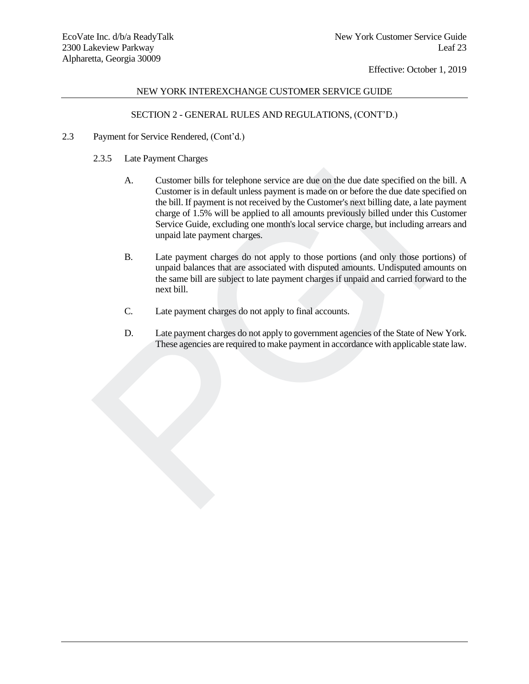# NEW YORK INTEREXCHANGE CUSTOMER SERVICE GUIDE

# SECTION 2 - GENERAL RULES AND REGULATIONS, (CONT'D.)

- 2.3 Payment for Service Rendered, (Cont'd.)
	- 2.3.5 Late Payment Charges
	- A. Customer bills for telephone service are due on the due date specified on the bill. A Customer is in default unless payment is made on or before the due date specified on the bill. If payment is not received by the Customer's next billing date, a late payment charge of 1.5% will be applied to all amounts previously billed under this Customer Service Guide, excluding one month's local service charge, but including arrears and unpaid late payment charges. A. Customer bills for telephone service are due on the due date specified on d<br>
	Customer is in default unless payment is made on or before the due date specified the bill. If payment is not recoived by the Customer's next
		- B. Late payment charges do not apply to those portions (and only those portions) of unpaid balances that are associated with disputed amounts. Undisputed amounts on the same bill are subject to late payment charges if unpaid and carried forward to the next bill.
		- C. Late payment charges do not apply to final accounts.
		- D. Late payment charges do not apply to government agencies of the State of New York. These agencies are required to make payment in accordance with applicable state law.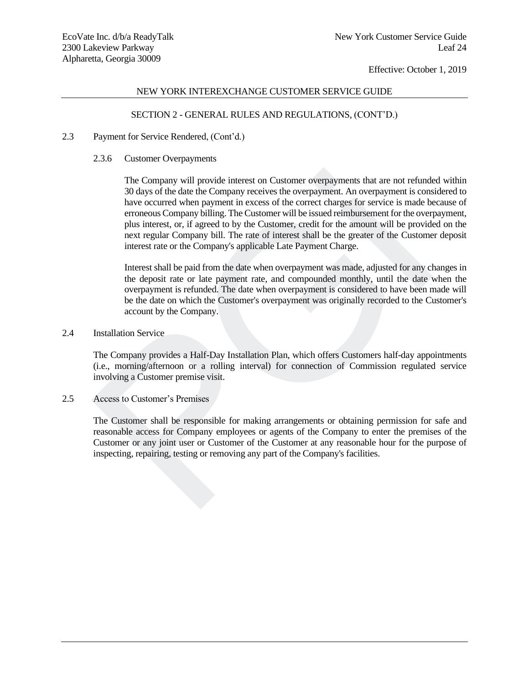## NEW YORK INTEREXCHANGE CUSTOMER SERVICE GUIDE

# SECTION 2 - GENERAL RULES AND REGULATIONS, (CONT'D.)

#### 2.3 Payment for Service Rendered, (Cont'd.)

#### 2.3.6 Customer Overpayments

The Company will provide interest on Customer overpayments that are not refunded within 30 days of the date the Company receives the overpayment. An overpayment is considered to have occurred when payment in excess of the correct charges for service is made because of erroneous Company billing. The Customer will be issued reimbursement for the overpayment, plus interest, or, if agreed to by the Customer, credit for the amount will be provided on the next regular Company bill. The rate of interest shall be the greater of the Customer deposit interest rate or the Company's applicable Late Payment Charge. The Company will provide interest on Customer overpayments that are not refund<br>30 days of the date the Company receives the overpayment. An overpayment is cons<br>have occurred when payment in excess of the correct charges fo

Interest shall be paid from the date when overpayment was made, adjusted for any changes in the deposit rate or late payment rate, and compounded monthly, until the date when the overpayment is refunded. The date when overpayment is considered to have been made will be the date on which the Customer's overpayment was originally recorded to the Customer's account by the Company.

# 2.4 Installation Service

The Company provides a Half-Day Installation Plan, which offers Customers half-day appointments (i.e., morning/afternoon or a rolling interval) for connection of Commission regulated service involving a Customer premise visit.

# 2.5 Access to Customer's Premises

The Customer shall be responsible for making arrangements or obtaining permission for safe and reasonable access for Company employees or agents of the Company to enter the premises of the Customer or any joint user or Customer of the Customer at any reasonable hour for the purpose of inspecting, repairing, testing or removing any part of the Company's facilities.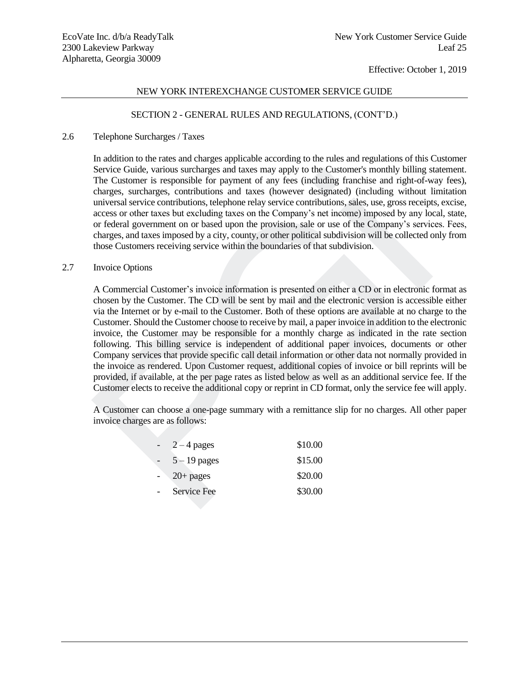# NEW YORK INTEREXCHANGE CUSTOMER SERVICE GUIDE

## SECTION 2 - GENERAL RULES AND REGULATIONS, (CONT'D.)

#### 2.6 Telephone Surcharges / Taxes

In addition to the rates and charges applicable according to the rules and regulations of this Customer Service Guide, various surcharges and taxes may apply to the Customer's monthly billing statement. The Customer is responsible for payment of any fees (including franchise and right-of-way fees), charges, surcharges, contributions and taxes (however designated) (including without limitation universal service contributions, telephone relay service contributions, sales, use, gross receipts, excise, access or other taxes but excluding taxes on the Company's net income) imposed by any local, state, or federal government on or based upon the provision, sale or use of the Company's services. Fees, charges, and taxes imposed by a city, county, or other political subdivision will be collected only from those Customers receiving service within the boundaries of that subdivision.

## 2.7 Invoice Options

A Commercial Customer's invoice information is presented on either a CD or in electronic format as chosen by the Customer. The CD will be sent by mail and the electronic version is accessible either via the Internet or by e-mail to the Customer. Both of these options are available at no charge to the Customer. Should the Customer choose to receive by mail, a paper invoice in addition to the electronic invoice, the Customer may be responsible for a monthly charge as indicated in the rate section following. This billing service is independent of additional paper invoices, documents or other Company services that provide specific call detail information or other data not normally provided in the invoice as rendered. Upon Customer request, additional copies of invoice or bill reprints will be provided, if available, at the per page rates as listed below as well as an additional service fee. If the Customer elects to receive the additional copy or reprint in CD format, only the service fee will apply. Service Guide, vanous surcharges and taxes may apply to the Customers monthly bulling<br>The Customer is responsible for payment of any fees (including framchise and right-of-<br>charges, surcharges, contributions, relations an

A Customer can choose a one-page summary with a remittance slip for no charges. All other paper invoice charges are as follows:

| \$10.00                                                       |
|---------------------------------------------------------------|
| \$15.00                                                       |
| \$20.00                                                       |
| \$30.00                                                       |
| $2 - 4$ pages<br>$5 - 19$ pages<br>$20+$ pages<br>Service Fee |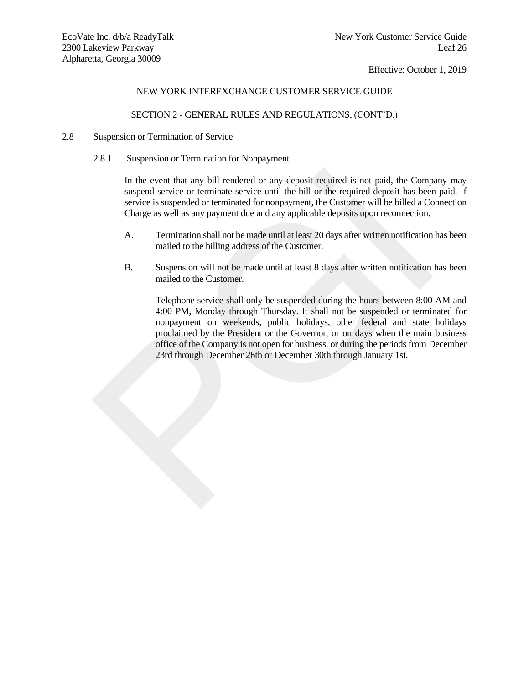# NEW YORK INTEREXCHANGE CUSTOMER SERVICE GUIDE

# SECTION 2 - GENERAL RULES AND REGULATIONS, (CONT'D.)

- 2.8 Suspension or Termination of Service
	- 2.8.1 Suspension or Termination for Nonpayment

In the event that any bill rendered or any deposit required is not paid, the Company may suspend service or terminate service until the bill or the required deposit has been paid. If service is suspended or terminated for nonpayment, the Customer will be billed a Connection Charge as well as any payment due and any applicable deposits upon reconnection.

- A. Termination shall not be made until at least 20 days after written notification has been mailed to the billing address of the Customer.
- B. Suspension will not be made until at least 8 days after written notification has been mailed to the Customer.

Telephone service shall only be suspended during the hours between 8:00 AM and 4:00 PM, Monday through Thursday. It shall not be suspended or terminated for nonpayment on weekends, public holidays, other federal and state holidays proclaimed by the President or the Governor, or on days when the main business office of the Company is not open for business, or during the periods from December 23rd through December 26th or December 30th through January 1st. In the event that any bill rendered or any deposit required is not paid, the Companyered service or terminate service until the bill or the required deposit has been service is suspended or terminated for nonpayment, the C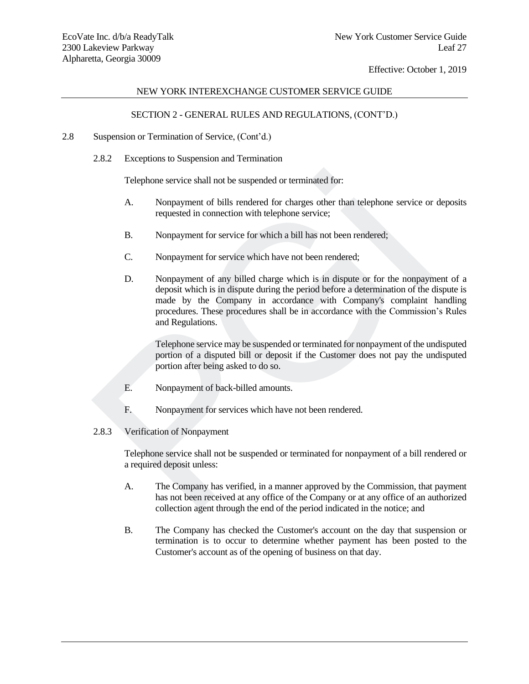# NEW YORK INTEREXCHANGE CUSTOMER SERVICE GUIDE

# SECTION 2 - GENERAL RULES AND REGULATIONS, (CONT'D.)

- 2.8 Suspension or Termination of Service, (Cont'd.)
	- 2.8.2 Exceptions to Suspension and Termination

Telephone service shall not be suspended or terminated for:

- A. Nonpayment of bills rendered for charges other than telephone service or deposits requested in connection with telephone service;
- B. Nonpayment for service for which a bill has not been rendered;
- C. Nonpayment for service which have not been rendered;
- D. Nonpayment of any billed charge which is in dispute or for the nonpayment of a deposit which is in dispute during the period before a determination of the dispute is made by the Company in accordance with Company's complaint handling procedures. These procedures shall be in accordance with the Commission's Rules and Regulations. Telephone service shall not be suspended or terminated for:<br>
A. Nonpayment of bills rendered for charges other than telephone service or<br>
requested in connection with telephone service;<br>
B. Nonpayment for service for which

Telephone service may be suspended or terminated for nonpayment of the undisputed portion of a disputed bill or deposit if the Customer does not pay the undisputed portion after being asked to do so.

- E. Nonpayment of back-billed amounts.
- F. Nonpayment for services which have not been rendered.
- 2.8.3 Verification of Nonpayment

Telephone service shall not be suspended or terminated for nonpayment of a bill rendered or a required deposit unless:

- A. The Company has verified, in a manner approved by the Commission, that payment has not been received at any office of the Company or at any office of an authorized collection agent through the end of the period indicated in the notice; and
- B. The Company has checked the Customer's account on the day that suspension or termination is to occur to determine whether payment has been posted to the Customer 's account as of the opening of business on that day.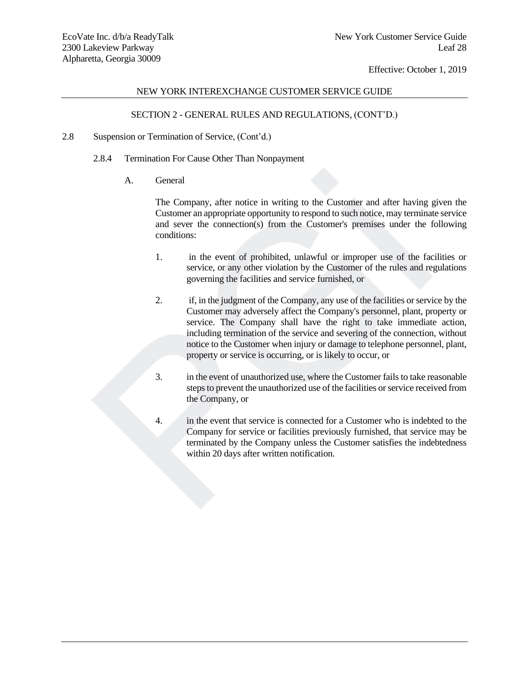# NEW YORK INTEREXCHANGE CUSTOMER SERVICE GUIDE

# SECTION 2 - GENERAL RULES AND REGULATIONS, (CONT'D.)

- 2.8 Suspension or Termination of Service, (Cont'd.)
	- 2.8.4 Termination For Cause Other Than Nonpayment
		- A. General

The Company, after notice in writing to the Customer and after having given the Customer an appropriate opportunity to respond to such notice, may terminate service and sever the connection(s) from the Customer's premises under the following conditions:

- 1. in the event of prohibited, unlawful or improper use of the facilities or service, or any other violation by the Customer of the rules and regulations governing the facilities and service furnished, or
- 2. if, in the judgment of the Company, any use of the facilities or service by the Customer may adversely affect the Company's personnel, plant, property or service. The Company shall have the right to take immediate action, including termination of the service and severing of the connection, without notice to the Customer when injury or damage to telephone personnel, plant, property or service is occurring, or is likely to occur, or A. General<br>
The Company, after notice in writing to the Customer and after having<br>
Customer an appropriate opportunity to respond to such notice, may termina<br>
and sever the connection(s) from the Customer's premises under
	- 3. in the event of unauthorized use, where the Customer fails to take reasonable steps to prevent the unauthorized use of the facilities or service received from the Company, or
	- 4. in the event that service is connected for a Customer who is indebted to the Company for service or facilities previously furnished, that service may be terminated by the Company unless the Customer satisfies the indebtedness within 20 days after written notification.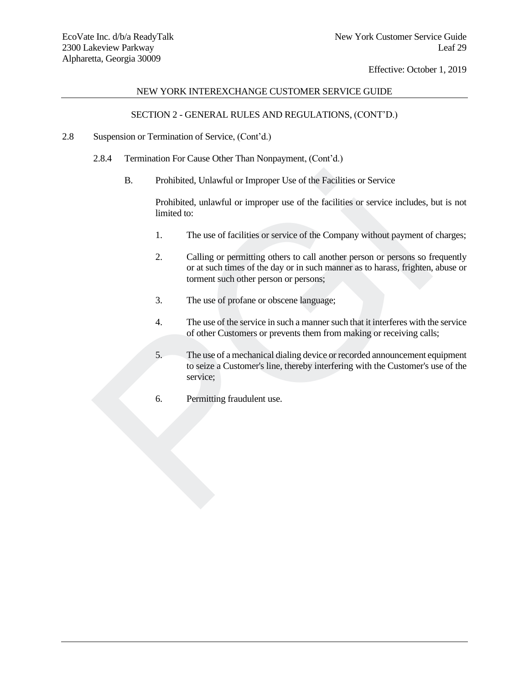# NEW YORK INTEREXCHANGE CUSTOMER SERVICE GUIDE

# SECTION 2 - GENERAL RULES AND REGULATIONS, (CONT'D.)

- 2.8 Suspension or Termination of Service, (Cont'd.)
	- 2.8.4 Termination For Cause Other Than Nonpayment, (Cont'd.)
		- B. Prohibited, Unlawful or Improper Use of the Facilities or Service

Prohibited, unlawful or improper use of the facilities or service includes, but is not limited to:

- 1. The use of facilities or service of the Company without payment of charges;
- 2. Calling or permitting others to call another person or persons so frequently or at such times of the day or in such manner as to harass, frighten, abuse or torment such other person or persons; B. Prohibited, Unlawful or Improper Use of the Facilities or Service<br>Prohibited, unlawful or improper use of the facilities or service includes, l<br>imited to:<br>The use of facilities or service of the Company without payment
	- 3. The use of profane or obscene language;
	- 4. The use of the service in such a manner such that it interferes with the service of other Customers or prevents them from making or receiving calls;
	- 5. The use of a mechanical dialing device or recorded announcement equipment to seize a Customer's line, thereby interfering with the Customer's use of the service;
	- 6. Permitting fraudulent use.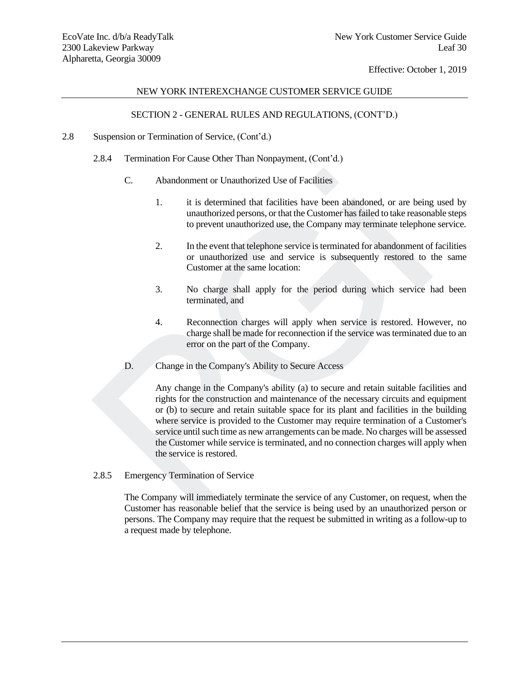# NEW YORK INTEREXCHANGE CUSTOMER SERVICE GUIDE

# SECTION 2 - GENERAL RULES AND REGULATIONS, (CONT'D.)

- 2.8 Suspension or Termination of Service, (Cont'd.)
	- 2.8.4 Termination For Cause Other Than Nonpayment, (Cont'd.)
		- C. Abandonment or Unauthorized Use of Facilities
			- 1. it is determined that facilities have been abandoned, or are being used by unauthorized persons, or that the Customer has failed to take reasonable steps to prevent unauthorized use, the Company may terminate telephone service.
			- 2. In the event that telephone service is terminated for abandonment of facilities or unauthorized use and service is subsequently restored to the same Customer at the same location:
			- 3. No charge shall apply for the period during which service had been terminated, and
			- 4. Reconnection charges will apply when service is restored. However, no charge shall be made for reconnection if the service was terminated due to an error on the part of the Company.
		- D. Change in the Company's Ability to Secure Access

Any change in the Company's ability (a) to secure and retain suitable facilities and rights for the construction and maintenance of the necessary circuits and equipment or (b) to secure and retain suitable space for its plant and facilities in the building where service is provided to the Customer may require termination of a Customer's service until such time as new arrangements can be made. No charges will be assessed the Customer while service is terminated, and no connection charges will apply when the service is restored. C. Abandonment or Unauthorized Use of Facilities<br>
1. it is determined that facilities have been abandoned, or are being<br>
1. it is determined that facilities have been abandoned, or are being<br>
1. In the event that telephon

2.8.5 Emergency Termination of Service

The Company will immediately terminate the service of any Customer, on request, when the Customer has reasonable belief that the service is being used by an unauthorized person or persons. The Company may require that the request be submitted in writing as a follow-up to a request made by telephone.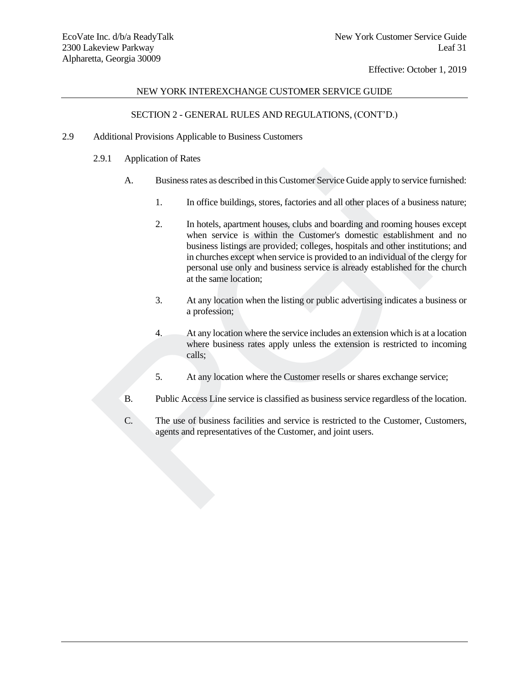## NEW YORK INTEREXCHANGE CUSTOMER SERVICE GUIDE

# SECTION 2 - GENERAL RULES AND REGULATIONS, (CONT'D.)

- 2.9 Additional Provisions Applicable to Business Customers
	- 2.9.1 Application of Rates
		- A. Business rates as described in this Customer Service Guide apply to service furnished:
			- 1. In office buildings, stores, factories and all other places of a business nature;
	- 2. In hotels, apartment houses, clubs and boarding and rooming houses except when service is within the Customer's domestic establishment and no business listings are provided; colleges, hospitals and other institutions; and in churches except when service is provided to an individual of the clergy for personal use only and business service is already established for the church at the same location; A. Business rates as described in this Customer Service Guide apply to service f<br>
	1. In office buildings, stores, factories and all other places of a busines<br>
	2. In hotels, a partment houses, clubs and boarding and rooming
		- 3. At any location when the listing or public advertising indicates a business or a profession;
		- 4. At any location where the service includes an extension which is at a location where business rates apply unless the extension is restricted to incoming calls;
		- 5. At any location where the Customer resells or shares exchange service;
		- B. Public Access Line service is classified as business service regardless of the location.
		- C. The use of business facilities and service is restricted to the Customer, Customers, agents and representatives of the Customer, and joint users.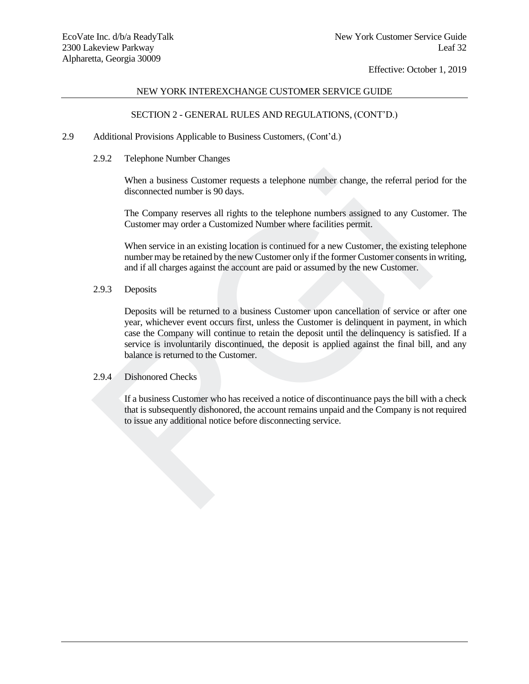## NEW YORK INTEREXCHANGE CUSTOMER SERVICE GUIDE

# SECTION 2 - GENERAL RULES AND REGULATIONS, (CONT'D.)

## 2.9 Additional Provisions Applicable to Business Customers, (Cont'd.)

2.9.2 Telephone Number Changes

When a business Customer requests a telephone number change, the referral period for the disconnected number is 90 days.

The Company reserves all rights to the telephone numbers assigned to any Customer. The Customer may order a Customized Number where facilities permit.

When service in an existing location is continued for a new Customer, the existing telephone number may be retained by the new Customer only if the former Customer consents in writing, and if all charges against the account are paid or assumed by the new Customer.

# 2.9.3 Deposits

Deposits will be returned to a business Customer upon cancellation of service or after one year, whichever event occurs first, unless the Customer is delinquent in payment, in which case the Company will continue to retain the deposit until the delinquency is satisfied. If a service is involuntarily discontinued, the deposit is applied against the final bill, and any balance is returned to the Customer. When a business Customer requests a telephone number change, the referral periodisconnected number is 90 days.<br>The Company reserves all rights to the telephone numbers assigned to any Custo<br>Customer may order a Customized

## 2.9.4 Dishonored Checks

If a business Customer who has received a notice of discontinuance pays the bill with a check that is subsequently dishonored, the account remains unpaid and the Company is not required to issue any additional notice before disconnecting service.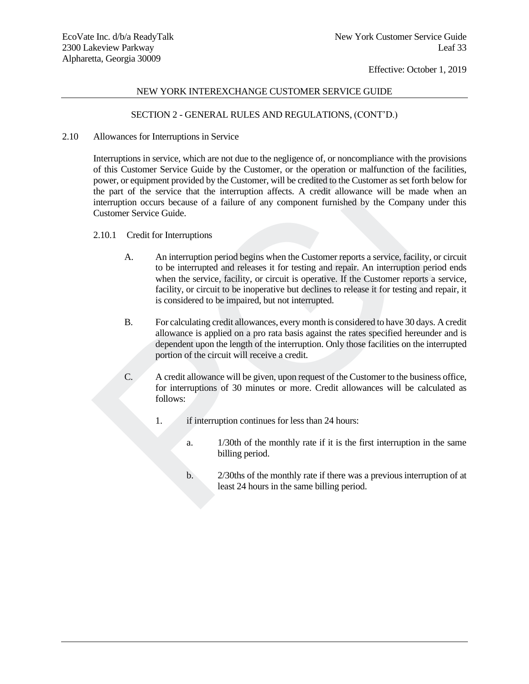# NEW YORK INTEREXCHANGE CUSTOMER SERVICE GUIDE

# SECTION 2 - GENERAL RULES AND REGULATIONS, (CONT'D.)

## 2.10 Allowances for Interruptions in Service

Interruptions in service, which are not due to the negligence of, or noncompliance with the provisions of this Customer Service Guide by the Customer, or the operation or malfunction of the facilities, power, or equipment provided by the Customer, will be credited to the Customer as set forth below for the part of the service that the interruption affects. A credit allowance will be made when an interruption occurs because of a failure of any component furnished by the Company under this Customer Service Guide. of this Ussioner Service Guide by the Customer, or the operation or maltunction of the<br>power, or equipment provided by the Customer, will be reddied to the Customer as set forth<br>the part of the service that the interruptio

# 2.10.1 Credit for Interruptions

- A. An interruption period begins when the Customer reports a service, facility, or circuit to be interrupted and releases it for testing and repair. An interruption period ends when the service, facility, or circuit is operative. If the Customer reports a service, facility, or circuit to be inoperative but declines to release it for testing and repair, it is considered to be impaired, but not interrupted.
- B. For calculating credit allowances, every month is considered to have 30 days. A credit allowance is applied on a pro rata basis against the rates specified hereunder and is dependent upon the length of the interruption. Only those facilities on the interrupted portion of the circuit will receive a credit.
- C. A credit allowance will be given, upon request of the Customer to the business office, for interruptions of 30 minutes or more. Credit allowances will be calculated as follows:
	- 1. if interruption continues for less than 24 hours:
		- a. 1/30th of the monthly rate if it is the first interruption in the same billing period.
		- b. 2/30ths of the monthly rate if there was a previous interruption of at least 24 hours in the same billing period.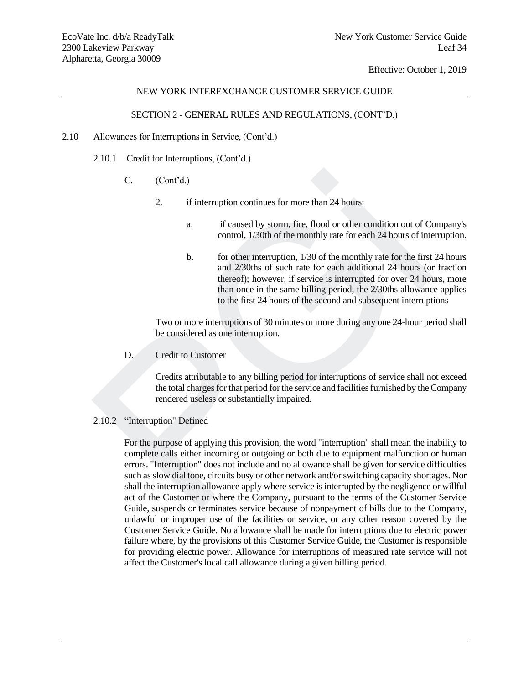## NEW YORK INTEREXCHANGE CUSTOMER SERVICE GUIDE

# SECTION 2 - GENERAL RULES AND REGULATIONS, (CONT'D.)

- 2.10 Allowances for Interruptions in Service, (Cont'd.)
	- 2.10.1 Credit for Interruptions, (Cont'd.)
		- $C.$   $(Cont<sup>3</sup>d.)$ 
			- 2. if interruption continues for more than 24 hours:
				- a. if caused by storm, fire, flood or other condition out of Company's control, 1/30th of the monthly rate for each 24 hours of interruption.
				- b. for other interruption, 1/30 of the monthly rate for the first 24 hours and 2/30ths of such rate for each additional 24 hours (or fraction thereof); however, if service is interrupted for over 24 hours, more than once in the same billing period, the 2/30ths allowance applies to the first 24 hours of the second and subsequent interruptions

Two or more interruptions of 30 minutes or more during any one 24-hour period shall be considered as one interruption.

D. Credit to Customer

Credits attributable to any billing period for interruptions of service shall not exceed the total charges for that period for the service and facilities furnished by the Company rendered useless or substantially impaired.

# 2.10.2 "Interruption" Defined

For the purpose of applying this provision, the word "interruption" shall mean the inability to complete calls either incoming or outgoing or both due to equipment malfunction or human errors. "Interruption" does not include and no allowance shall be given for service difficulties such as slow dial tone, circuits busy or other network and/or switching capacity shortages. Nor shall the interruption allowance apply where service is interrupted by the negligence or willful act of the Customer or where the Company, pursuant to the terms of the Customer Service Guide, suspends or terminates service because of nonpayment of bills due to the Company, unlawful or improper use of the facilities or service, or any other reason covered by the Customer Service Guide. No allowance shall be made for interruptions due to electric power failure where, by the provisions of this Customer Service Guide, the Customer is responsible for providing electric power. Allowance for interruptions of measured rate service will not affect the Customer 's local call allowance during a given billing period.C. (Cont'd.)<br>
2. if interruption continues for more than 24 hours:<br>
a. if caused by storm, fire, flood or other condition out of C<br>
control, 1/30th of the monthly rate for each 24 hours of inter-<br>
b. for other interruptio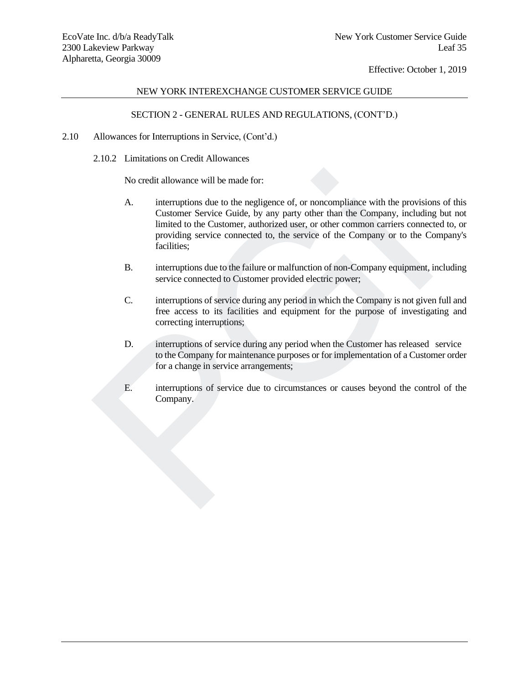# NEW YORK INTEREXCHANGE CUSTOMER SERVICE GUIDE

# SECTION 2 - GENERAL RULES AND REGULATIONS, (CONT'D.)

## 2.10 Allowances for Interruptions in Service, (Cont'd.)

2.10.2 Limitations on Credit Allowances

No credit allowance will be made for:

- A. interruptions due to the negligence of, or noncompliance with the provisions of this Customer Service Guide, by any party other than the Company, including but not limited to the Customer, authorized user, or other common carriers connected to, or providing service connected to, the service of the Company or to the Company's facilities; No credit allowance will be made for:<br>
A. interruptions due to the negligence of, or noncompliance with the provision Customer Service Guide, by any party other than the Company, including limited to the Customer, authoriz
	- B. interruptions due to the failure or malfunction of non-Company equipment, including service connected to Customer provided electric power;
	- C. interruptions of service during any period in which the Company is not given full and free access to its facilities and equipment for the purpose of investigating and correcting interruptions;
	- D. interruptions of service during any period when the Customer has released service to the Company for maintenance purposes or for implementation of a Customer order for a change in service arrangements;
	- E. interruptions of service due to circumstances or causes beyond the control of the Company.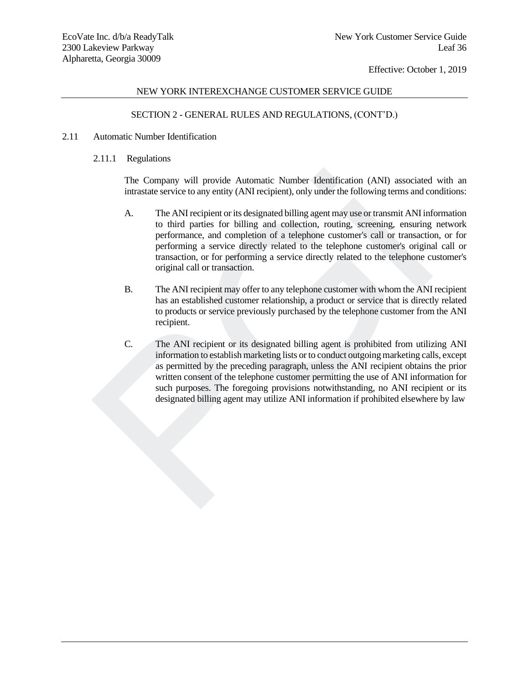# NEW YORK INTEREXCHANGE CUSTOMER SERVICE GUIDE

# SECTION 2 - GENERAL RULES AND REGULATIONS, (CONT'D.)

- 2.11 Automatic Number Identification
	- 2.11.1 Regulations

The Company will provide Automatic Number Identification (ANI) associated with an intrastate service to any entity (ANI recipient), only under the following terms and conditions:

- A. The ANI recipient or its designated billing agent may use or transmit ANI information to third parties for billing and collection, routing, screening, ensuring network performance, and completion of a telephone customer's call or transaction, or for performing a service directly related to the telephone customer's original call or transaction, or for performing a service directly related to the telephone customer's original call or transaction.
- B. The ANI recipient may offer to any telephone customer with whom the ANI recipient has an established customer relationship, a product or service that is directly related to products or service previously purchased by the telephone customer from the ANI recipient.
- C. The ANI recipient or its designated billing agent is prohibited from utilizing ANI information to establish marketing lists or to conduct outgoing marketing calls, except as permitted by the preceding paragraph, unless the ANI recipient obtains the prior written consent of the telephone customer permitting the use of ANI information for such purposes. The foregoing provisions notwithstanding, no ANI recipient or its designated billing agent may utilize ANI information if prohibited elsewhere by law The Company will provide Automatic Number Identification (ANI) associated<br>intrastate service to any entity (ANI recipient), only under the following terms and co<br>
A. The ANI recipient or its designated billing agent may us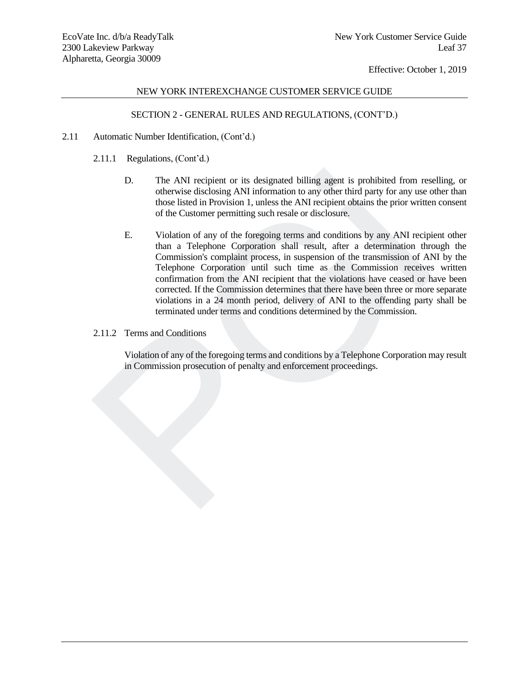# NEW YORK INTEREXCHANGE CUSTOMER SERVICE GUIDE

# SECTION 2 - GENERAL RULES AND REGULATIONS, (CONT'D.)

- 2.11 Automatic Number Identification, (Cont'd.)
	- 2.11.1 Regulations, (Cont'd.)
		- D. The ANI recipient or its designated billing agent is prohibited from reselling, or otherwise disclosing ANI information to any other third party for any use other than those listed in Provision 1, unless the ANI recipient obtains the prior written consent of the Customer permitting such resale or disclosure.
	- E. Violation of any of the foregoing terms and conditions by any ANI recipient other than a Telephone Corporation shall result, after a determination through the Commission's complaint process, in suspension of the transmission of ANI by the Telephone Corporation until such time as the Commission receives written confirmation from the ANI recipient that the violations have ceased or have been corrected. If the Commission determines that there have been three or more separate violations in a 24 month period, delivery of ANI to the offending party shall be terminated under terms and conditions determined by the Commission. The ANI recipient or its designated billing agent is prohibited from resortance in the solution of any other wise the ANI recipient of the Customer permitting such resale of relations the prior written the following the AN
	- 2.11.2 Terms and Conditions

Violation of any of the foregoing terms and conditions by a Telephone Corporation may result in Commission prosecution of penalty and enforcement proceedings.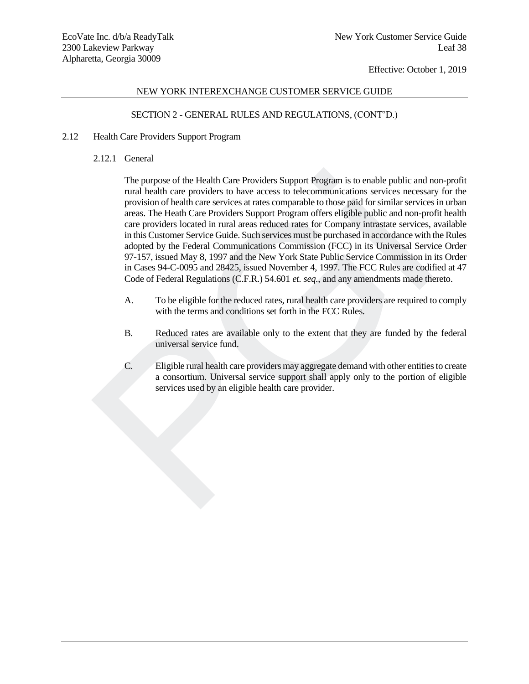# NEW YORK INTEREXCHANGE CUSTOMER SERVICE GUIDE

# SECTION 2 - GENERAL RULES AND REGULATIONS, (CONT'D.)

- 2.12 Health Care Providers Support Program
	- 2.12.1 General

The purpose of the Health Care Providers Support Program is to enable public and non-profit rural health care providers to have access to telecommunications services necessary for the provision of health care services at rates comparable to those paid for similar services in urban areas. The Heath Care Providers Support Program offers eligible public and non-profit health care providers located in rural areas reduced rates for Company intrastate services, available in this Customer Service Guide. Such services must be purchased in accordance with the Rules adopted by the Federal Communications Commission (FCC) in its Universal Service Order 97-157, issued May 8, 1997 and the New York State Public Service Commission in its Order in Cases 94-C-0095 and 28425, issued November 4, 1997. The FCC Rules are codified at 47 Code of Federal Regulations (C.F.R.) 54.601 *et. seq.*, and any amendments made thereto. The purpose of the Health Care Providers Support Program is to enable public and mull health care providers to have access to telecommunications services necessare providers of the diltimate services at rates comparable t

- A. To be eligible for the reduced rates, rural health care providers are required to comply with the terms and conditions set forth in the FCC Rules.
- B. Reduced rates are available only to the extent that they are funded by the federal universal service fund.
- C. Eligible rural health care providers may aggregate demand with other entitiesto create a consortium. Universal service support shall apply only to the portion of eligible services used by an eligible health care provider.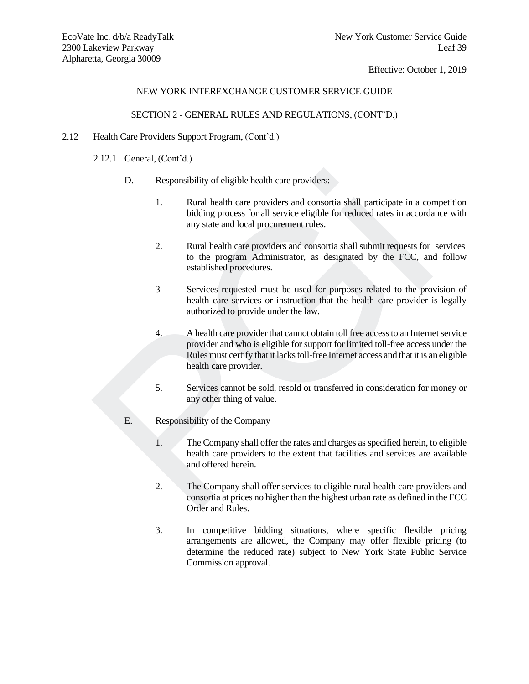# NEW YORK INTEREXCHANGE CUSTOMER SERVICE GUIDE

# SECTION 2 - GENERAL RULES AND REGULATIONS, (CONT'D.)

- 2.12 Health Care Providers Support Program, (Cont'd.)
	- 2.12.1 General, (Cont'd.)
		- D. Responsibility of eligible health care providers:
			- 1. Rural health care providers and consortia shall participate in a competition bidding process for all service eligible for reduced rates in accordance with any state and local procurement rules.
			- 2. Rural health care providers and consortia shall submit requests for services to the program Administrator, as designated by the FCC, and follow established procedures.
			- 3 Services requested must be used for purposes related to the provision of health care services or instruction that the health care provider is legally authorized to provide under the law.
	- 4. A health care provider that cannot obtain toll free access to an Internet service provider and who is eligible for support for limited toll-free access under the Rules must certify that it lacks toll-free Internet access and that it is an eligible health care provider. 9001. Responsibility of eligible health care providers:<br>
	1. Rural health care providers and consortia shall participate in a coordary state and local procurement rules.<br>
	2. Rural health care providers and consortia shall s
		- 5. Services cannot be sold, resold or transferred in consideration for money or any other thing of value.
		- E. Responsibility of the Company
			- 1. The Company shall offer the rates and charges as specified herein, to eligible health care providers to the extent that facilities and services are available and offered herein.
			- 2. The Company shall offer services to eligible rural health care providers and consortia at prices no higher than the highest urban rate as defined in the FCC Order and Rules.
			- 3. In competitive bidding situations, where specific flexible pricing arrangements are allowed, the Company may offer flexible pricing (to determine the reduced rate) subject to New York State Public Service Commission approval.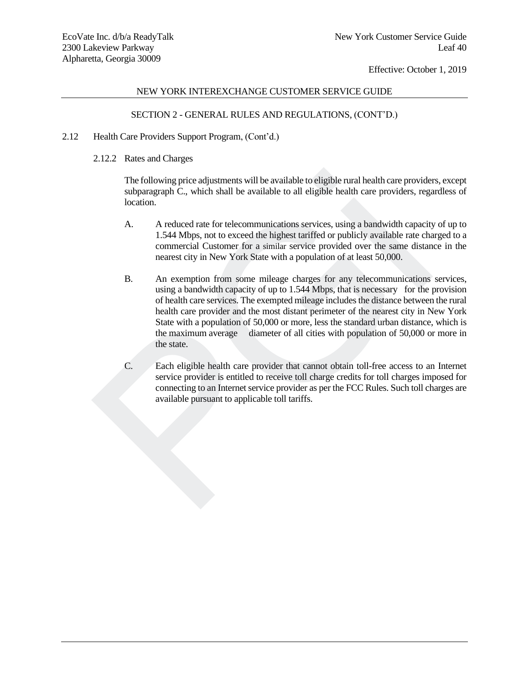## NEW YORK INTEREXCHANGE CUSTOMER SERVICE GUIDE

# SECTION 2 - GENERAL RULES AND REGULATIONS, (CONT'D.)

- 2.12 Health Care Providers Support Program, (Cont'd.)
	- 2.12.2 Rates and Charges

The following price adjustments will be available to eligible rural health care providers, except subparagraph C., which shall be available to all eligible health care providers, regardless of location.

- A. A reduced rate for telecommunications services, using a bandwidth capacity of up to 1.544 Mbps, not to exceed the highest tariffed or publicly available rate charged to a commercial Customer for a similar service provided over the same distance in the nearest city in New York State with a population of at least 50,000.
- B. An exemption from some mileage charges for any telecommunications services, using a bandwidth capacity of up to 1.544 Mbps, that is necessary for the provision of health care services. The exempted mileage includes the distance between the rural health care provider and the most distant perimeter of the nearest city in New York State with a population of 50,000 or more, less the standard urban distance, which is the maximum average diameter of all cities with population of 50,000 or more in the state. The following price adjustments will be available to eligible rural health care provides<br>
subparagraph C., which shall be available to all eligible health care provides, rege<br>
location.<br>
A. A reduced rate for telecommunica
	- C. Each eligible health care provider that cannot obtain toll-free access to an Internet service provider is entitled to receive toll charge credits for toll charges imposed for connecting to an Internet service provider as per the FCC Rules. Such toll charges are available pursuant to applicable toll tariffs.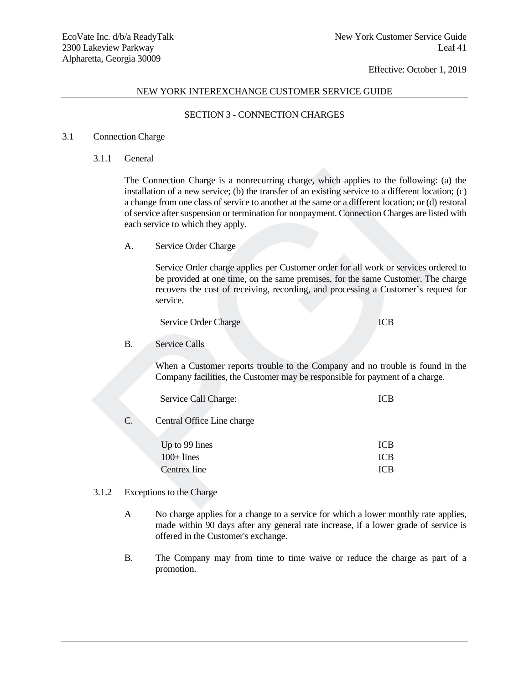## NEW YORK INTEREXCHANGE CUSTOMER SERVICE GUIDE

## SECTION 3 - CONNECTION CHARGES

#### 3.1 Connection Charge

3.1.1 General

The Connection Charge is a nonrecurring charge, which applies to the following: (a) the installation of a new service; (b) the transfer of an existing service to a different location; (c) a change from one class of service to another at the same or a different location; or (d) restoral of service after suspension or termination for nonpayment. Connection Charges are listed with each service to which they apply. The Connection Charge is a nonrecurring charge, which applies to the following<br>
installation of a new service; (b) the transfer of an existing service to a different location<br>
a change from one class of service to aonther

A. Service Order Charge

Service Order charge applies per Customer order for all work or services ordered to be provided at one time, on the same premises, for the same Customer. The charge recovers the cost of receiving, recording, and processing a Customer's request for service.

Service Order Charge **ICB** 

#### B. Service Calls

When a Customer reports trouble to the Company and no trouble is found in the Company facilities, the Customer may be responsible for payment of a charge.

|    | Service Call Charge:       | ICB |
|----|----------------------------|-----|
| C. | Central Office Line charge |     |

| Up to 99 lines | <b>ICB</b> |
|----------------|------------|
| $100+$ lines   | <b>ICB</b> |
| Centrex line   | <b>ICB</b> |

#### 3.1.2 Exceptions to the Charge

- A No charge applies for a change to a service for which a lower monthly rate applies, made within 90 days after any general rate increase, if a lower grade of service is offered in the Customer's exchange.
- B. The Company may from time to time waive or reduce the charge as part of a promotion.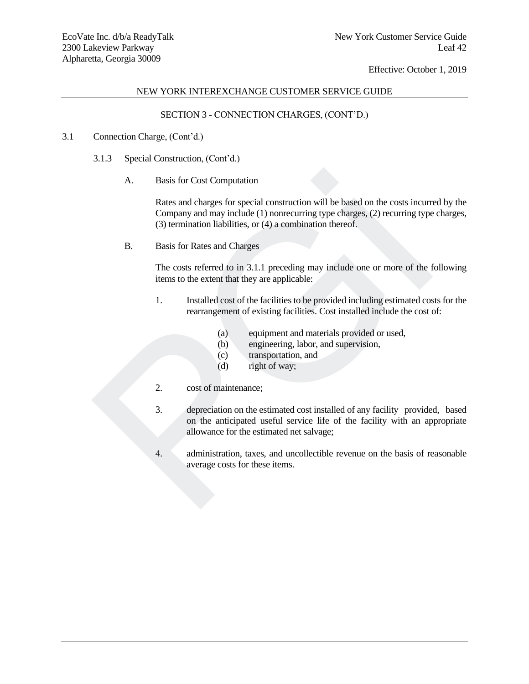# NEW YORK INTEREXCHANGE CUSTOMER SERVICE GUIDE

# SECTION 3 - CONNECTION CHARGES, (CONT'D.)

# 3.1 Connection Charge, (Cont'd.)

- 3.1.3 Special Construction, (Cont'd.)
	- A. Basis for Cost Computation

Rates and charges for special construction will be based on the costs incurred by the Company and may include (1) nonrecurring type charges, (2) recurring type charges, (3) termination liabilities, or (4) a combination thereof.

B. Basis for Rates and Charges

The costs referred to in 3.1.1 preceding may include one or more of the following items to the extent that they are applicable:

- 1. Installed cost of the facilities to be provided including estimated costs for the rearrangement of existing facilities. Cost installed include the cost of:
	- (a) equipment and materials provided or used,
	- (b) engineering, labor, and supervision,
	- (c) transportation, and
	- (d) right of way;
- 2. cost of maintenance;
- 3. depreciation on the estimated cost installed of any facility provided, based on the anticipated useful service life of the facility with an appropriate allowance for the estimated net salvage; A. Basis for Cost Computation<br>
Rates and charges for special construction will be based on the costs incurr<br>
Company and may include (1) nonecurring type charges, (2) recurring type<br>
(3) termination liabilities, or (4) a
	- 4. administration, taxes, and uncollectible revenue on the basis of reasonable average costs for these items.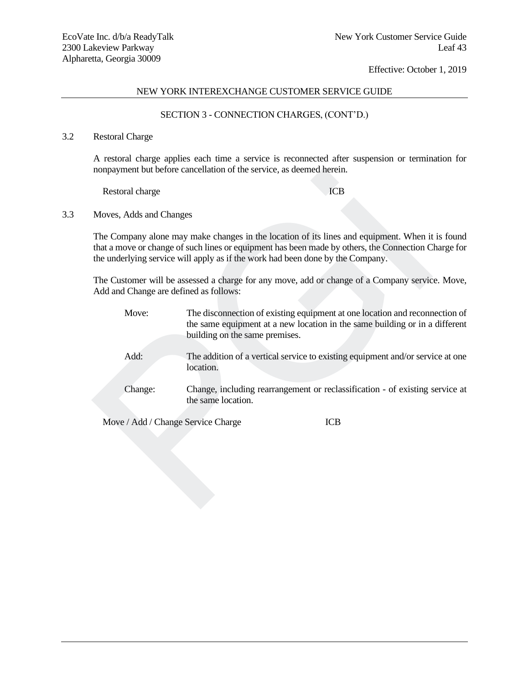# NEW YORK INTEREXCHANGE CUSTOMER SERVICE GUIDE

# SECTION 3 - CONNECTION CHARGES, (CONT'D.)

# 3.2 Restoral Charge

A restoral charge applies each time a service is reconnected after suspension or termination for nonpayment but before cancellation of the service, as deemed herein.

3.3 Moves, Adds and Changes

| nonpayment but before cancellation of the service, as deemed herein.                                                                     |                                                                                |                                                                                                                                                                                                        |  |
|------------------------------------------------------------------------------------------------------------------------------------------|--------------------------------------------------------------------------------|--------------------------------------------------------------------------------------------------------------------------------------------------------------------------------------------------------|--|
| Restoral charge                                                                                                                          |                                                                                | <b>ICB</b>                                                                                                                                                                                             |  |
| Moves, Adds and Changes                                                                                                                  |                                                                                |                                                                                                                                                                                                        |  |
|                                                                                                                                          | the underlying service will apply as if the work had been done by the Company. | The Company alone may make changes in the location of its lines and equipment. When it is found<br>that a move or change of such lines or equipment has been made by others, the Connection Charge for |  |
| The Customer will be assessed a charge for any move, add or change of a Company service. Move,<br>Add and Change are defined as follows: |                                                                                |                                                                                                                                                                                                        |  |
| Move:                                                                                                                                    | building on the same premises.                                                 | The disconnection of existing equipment at one location and reconnection of<br>the same equipment at a new location in the same building or in a different                                             |  |
| Add:                                                                                                                                     | location.                                                                      | The addition of a vertical service to existing equipment and/or service at one                                                                                                                         |  |
| Change:                                                                                                                                  | the same location.                                                             | Change, including rearrangement or reclassification - of existing service at                                                                                                                           |  |
| Move / Add / Change Service Charge                                                                                                       |                                                                                | <b>ICB</b>                                                                                                                                                                                             |  |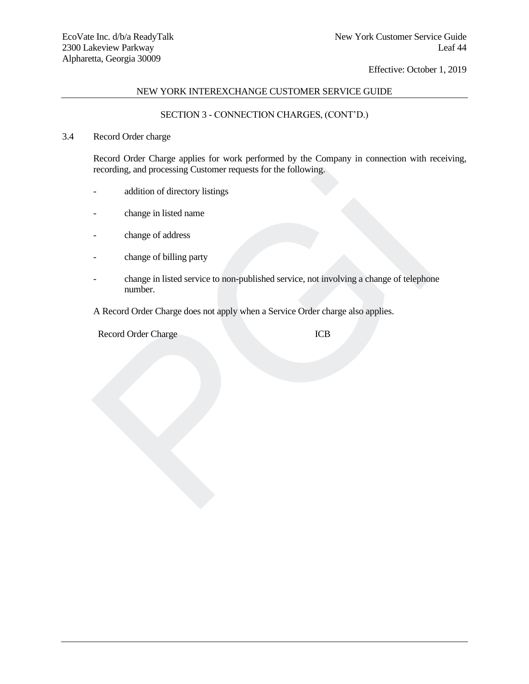# NEW YORK INTEREXCHANGE CUSTOMER SERVICE GUIDE

# SECTION 3 - CONNECTION CHARGES, (CONT'D.)

## 3.4 Record Order charge

Record Order Charge applies for work performed by the Company in connection with receiving, recording, and processing Customer requests for the following.

- addition of directory listings
- change in listed name
- change of address
- change of billing party
- change in listed service to non-published service, not involving a change of telephone number. recording, and processing Customer requests for the following.<br>
addition of directory listings<br>
change of address<br>
change of address<br>
change of billing party<br>
mumber.<br>
A Record Order Charge does not apply when a Service Or

A Record Order Charge does not apply when a Service Order charge also applies.

Record Order Charge **ICB**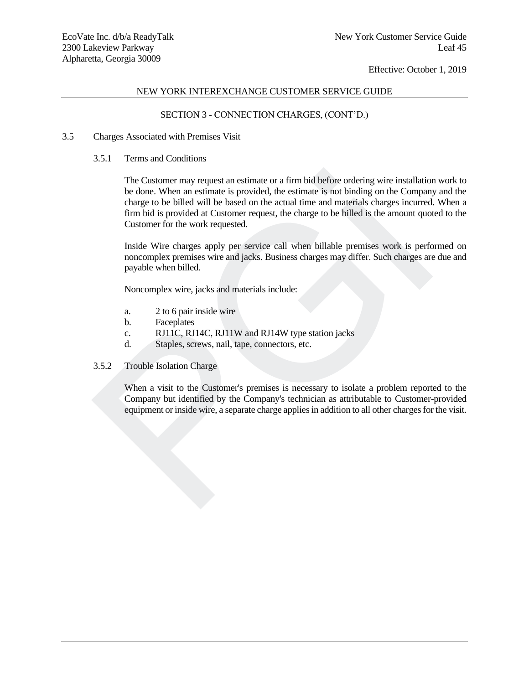# NEW YORK INTEREXCHANGE CUSTOMER SERVICE GUIDE

# SECTION 3 - CONNECTION CHARGES, (CONT'D.)

- 3.5 Charges Associated with Premises Visit
	- 3.5.1 Terms and Conditions

The Customer may request an estimate or a firm bid before ordering wire installation work to be done. When an estimate is provided, the estimate is not binding on the Company and the charge to be billed will be based on the actual time and materials charges incurred. When a firm bid is provided at Customer request, the charge to be billed is the amount quoted to the Customer for the work requested. The Customer may request an estimate or a firm bid before ordering wire installation<br>be done. When an estimate is provided, the estimate is not binding on the Company<br>charge to be billed will be based on the actual time an

Inside Wire charges apply per service call when billable premises work is performed on noncomplex premises wire and jacks. Business charges may differ. Such charges are due and payable when billed.

Noncomplex wire, jacks and materials include:

- a. 2 to 6 pair inside wire
- b. Faceplates
- c. RJ11C, RJ14C, RJ11W and RJ14W type station jacks
- d. Staples, screws, nail, tape, connectors, etc.
- 3.5.2 Trouble Isolation Charge

When a visit to the Customer's premises is necessary to isolate a problem reported to the Company but identified by the Company's technician as attributable to Customer-provided equipment or inside wire, a separate charge applies in addition to all other charges for the visit.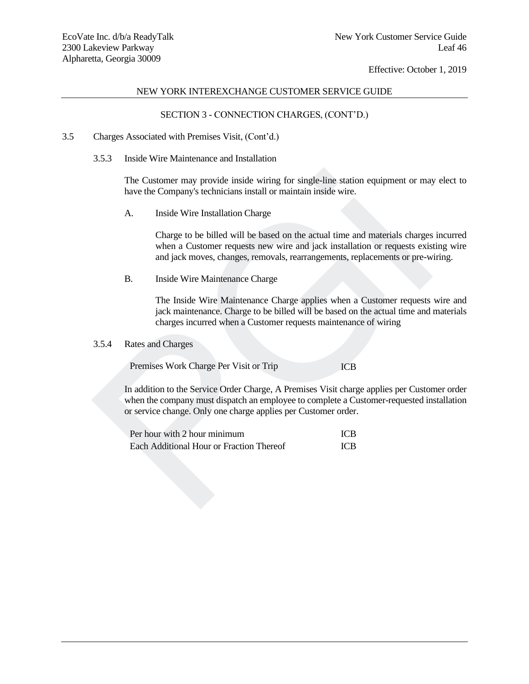## NEW YORK INTEREXCHANGE CUSTOMER SERVICE GUIDE

# SECTION 3 - CONNECTION CHARGES, (CONT'D.)

#### 3.5 Charges Associated with Premises Visit, (Cont'd.)

3.5.3 Inside Wire Maintenance and Installation

The Customer may provide inside wiring for single-line station equipment or may elect to have the Company's technicians install or maintain inside wire.

A. Inside Wire Installation Charge

Charge to be billed will be based on the actual time and materials charges incurred when a Customer requests new wire and jack installation or requests existing wire and jack moves, changes, removals, rearrangements, replacements or pre-wiring.

B. Inside Wire Maintenance Charge

The Inside Wire Maintenance Charge applies when a Customer requests wire and jack maintenance. Charge to be billed will be based on the actual time and materials charges incurred when a Customer requests maintenance of wiring

# 3.5.4 Rates and Charges

Premises Work Charge Per Visit or Trip **ICB** 

In addition to the Service Order Charge, A Premises Visit charge applies per Customer order when the company must dispatch an employee to complete a Customer-requested installation or service change. Only one charge applies per Customer order. The Customer may provide inside wiring for single-line station equipment or may have the Company's technicians install or maintain inside wire.<br>
A. Inside Wire Installation Charge<br>
Charge to be billed will be based on the

| Per hour with 2 hour minimum             | <b>ICB</b> |
|------------------------------------------|------------|
| Each Additional Hour or Fraction Thereof | <b>ICB</b> |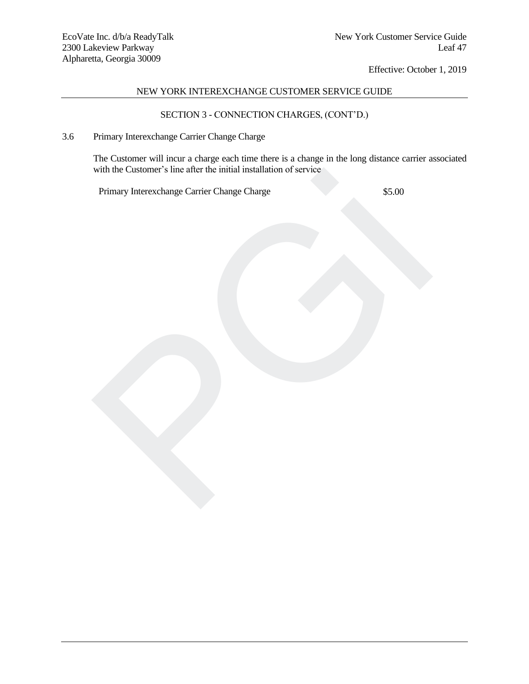# NEW YORK INTEREXCHANGE CUSTOMER SERVICE GUIDE

# SECTION 3 - CONNECTION CHARGES, (CONT'D.)

# 3.6 Primary Interexchange Carrier Change Charge

The Customer will incur a charge each time there is a change in the long distance carrier associated with the Customer's line after the initial installation of service with the Customer's line after the initial installation of service<br>Primary Intereschange Carrier Change Charge<br>S5.00

Primary Interexchange Carrier Change Charge  $$5.00$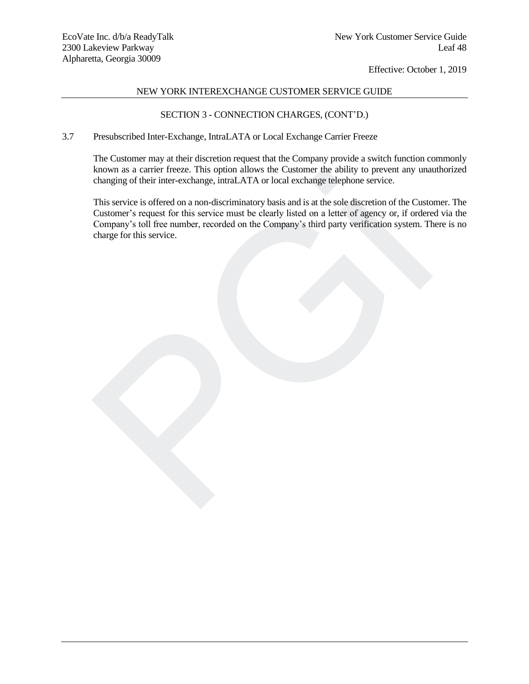# NEW YORK INTEREXCHANGE CUSTOMER SERVICE GUIDE

# SECTION 3 - CONNECTION CHARGES, (CONT'D.)

# 3.7 Presubscribed Inter-Exchange, IntraLATA or Local Exchange Carrier Freeze

The Customer may at their discretion request that the Company provide a switch function commonly known as a carrier freeze. This option allows the Customer the ability to prevent any unauthorized changing of their inter-exchange, intraLATA or local exchange telephone service.

This service is offered on a non-discriminatory basis and is at the sole discretion of the Customer. The Customer's request for this service must be clearly listed on a letter of agency or, if ordered via the Company's toll free number, recorded on the Company's third party verification system. There is no charge for this service. known as a carrier freeze. This option allows the Customer the ability to prevent any una<br>changing of their inter-exchange, intraLATA or local exchange telephone service.<br>This service is offered on a non-discriminatory bas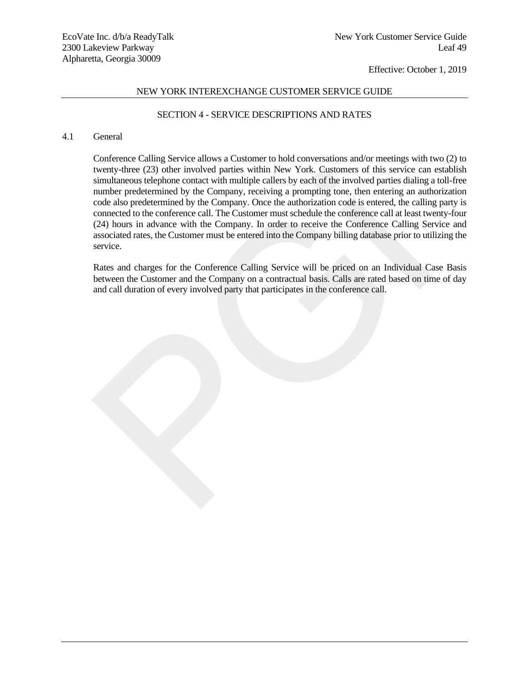# NEW YORK INTEREXCHANGE CUSTOMER SERVICE GUIDE

# SECTION 4 - SERVICE DESCRIPTIONS AND RATES

#### 4.1 General

Conference Calling Service allows a Customer to hold conversations and/or meetings with two (2) to twenty-three (23) other involved parties within New York. Customers of this service can establish simultaneous telephone contact with multiple callers by each of the involved parties dialing a toll-free number predetermined by the Company, receiving a prompting tone, then entering an authorization code also predetermined by the Company. Once the authorization code is entered, the calling party is connected to the conference call. The Customer must schedule the conference call at least twenty-four (24) hours in advance with the Company. In order to receive the Conference Calling Service and associated rates, the Customer must be entered into the Company billing database prior to utilizing the service. Wenty-time (23) other myotived parties within New York. Customers of this service can<br>simultaneous telephone contact with multiple callers by each of the involved parties dialing is<br>number predetermined by the Company, roc

Rates and charges for the Conference Calling Service will be priced on an Individual Case Basis between the Customer and the Company on a contractual basis. Calls are rated based on time of day and call duration of every involved party that participates in the conference call.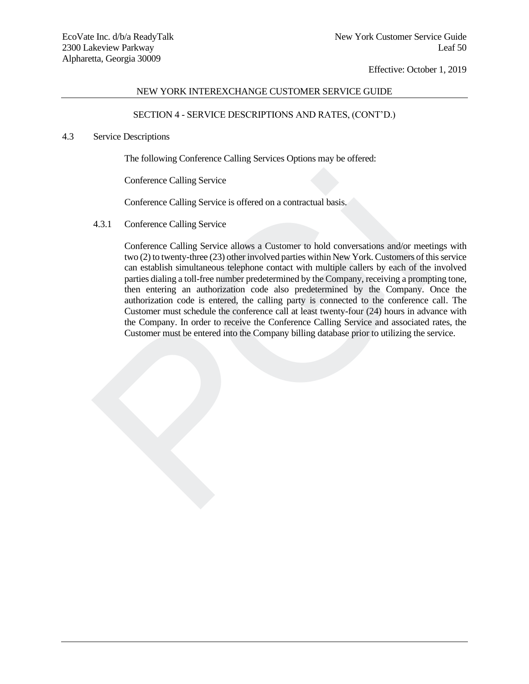## NEW YORK INTEREXCHANGE CUSTOMER SERVICE GUIDE

# SECTION 4 - SERVICE DESCRIPTIONS AND RATES, (CONT'D.)

## 4.3 Service Descriptions

The following Conference Calling Services Options may be offered:

Conference Calling Service

Conference Calling Service is offered on a contractual basis.

4.3.1 Conference Calling Service

Conference Calling Service allows a Customer to hold conversations and/or meetings with two (2) to twenty-three (23) other involved parties within New York. Customers of this service can establish simultaneous telephone contact with multiple callers by each of the involved parties dialing a toll-free number predetermined by the Company, receiving a prompting tone, then entering an authorization code also predetermined by the Company. Once the authorization code is entered, the calling party is connected to the conference call. The Customer must schedule the conference call at least twenty-four (24) hours in advance with the Company. In order to receive the Conference Calling Service and associated rates, the Customer must be entered into the Company billing database prior to utilizing the service. Conference Calling Service<br>
Conference Calling Service is offered on a contractual basis.<br>
4.3.1 Conference Calling Service allows a Customer to hold conversations and/or meetive<br>
two (2) to twenty-three (23) other involve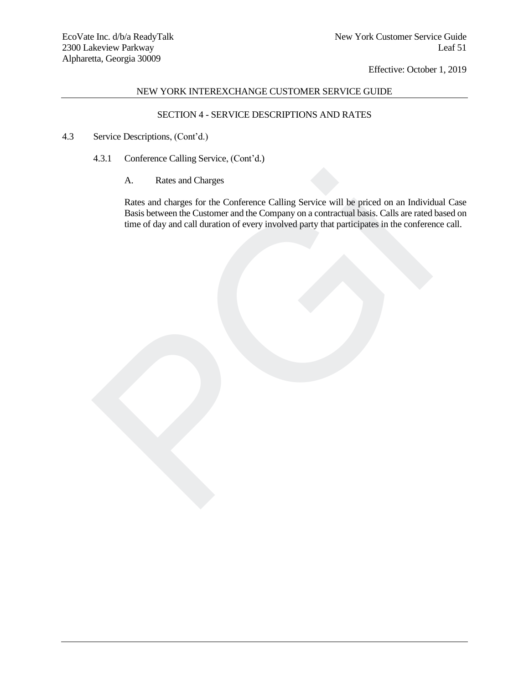# NEW YORK INTEREXCHANGE CUSTOMER SERVICE GUIDE

# SECTION 4 - SERVICE DESCRIPTIONS AND RATES

- 4.3 Service Descriptions, (Cont'd.)
	- 4.3.1 Conference Calling Service, (Cont'd.)
		- A. Rates and Charges

Rates and charges for the Conference Calling Service will be priced on an Individual Case Basis between the Customer and the Company on a contractual basis. Calls are rated based on time of day and call duration of every involved party that participates in the conference call. A. Rates and Charges<br>Rates and charges for the Conference Calling Service will be priced on an Individual<br>Basis between the Customer and the Company on a contractual basis. Calls are rated<br>time of day and call duration of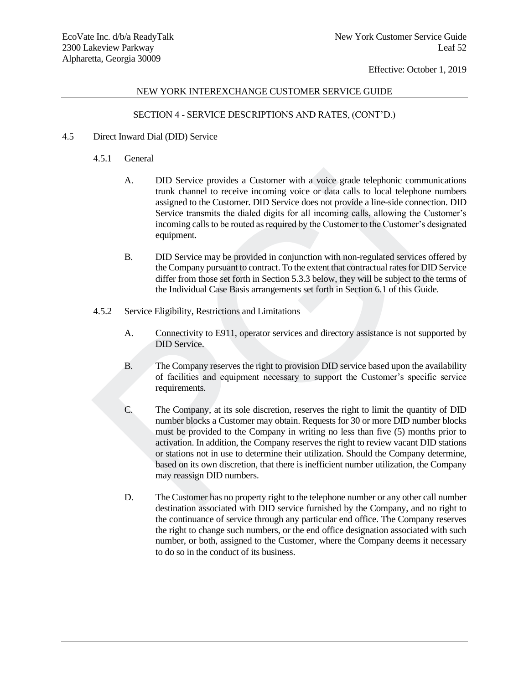# NEW YORK INTEREXCHANGE CUSTOMER SERVICE GUIDE

# SECTION 4 - SERVICE DESCRIPTIONS AND RATES, (CONT'D.)

- 4.5 Direct Inward Dial (DID) Service
	- 4.5.1 General
		- A. DID Service provides a Customer with a voice grade telephonic communications trunk channel to receive incoming voice or data calls to local telephone numbers assigned to the Customer. DID Service does not provide a line-side connection. DID Service transmits the dialed digits for all incoming calls, allowing the Customer's incoming calls to be routed as required by the Customer to the Customer's designated equipment.
		- B. DID Service may be provided in conjunction with non-regulated services offered by the Company pursuant to contract. To the extent that contractual rates for DID Service differ from those set forth in Section 5.3.3 below, they will be subject to the terms of the Individual Case Basis arrangements set forth in Section 6.1 of this Guide.
	- 4.5.2 Service Eligibility, Restrictions and Limitations
		- A. Connectivity to E911, operator services and directory assistance is not supported by DID Service.
		- B. The Company reserves the right to provision DID service based upon the availability of facilities and equipment necessary to support the Customer's specific service requirements.
	- C. The Company, at its sole discretion, reserves the right to limit the quantity of DID number blocks a Customer may obtain. Requests for 30 or more DID number blocks must be provided to the Company in writing no less than five (5) months prior to activation. In addition, the Company reserves the right to review vacant DID stations or stations not in use to determine their utilization. Should the Company determine, based on its own discretion, that there is inefficient number utilization, the Company may reassign DID numbers. A. DID Service provides a Customer with a voice grade telephonic communitum k channel to receive incoming voice or data calls to local telephone<br>assigned to the Customer. DID Service does not provide a line-side connect<br>Se
		- D. The Customer has no property right to the telephone number or any other call number destination associated with DID service furnished by the Company, and no right to the continuance of service through any particular end office. The Company reserves the right to change such numbers, or the end office designation associated with such number, or both, assigned to the Customer, where the Company deems it necessary to do so in the conduct of its business.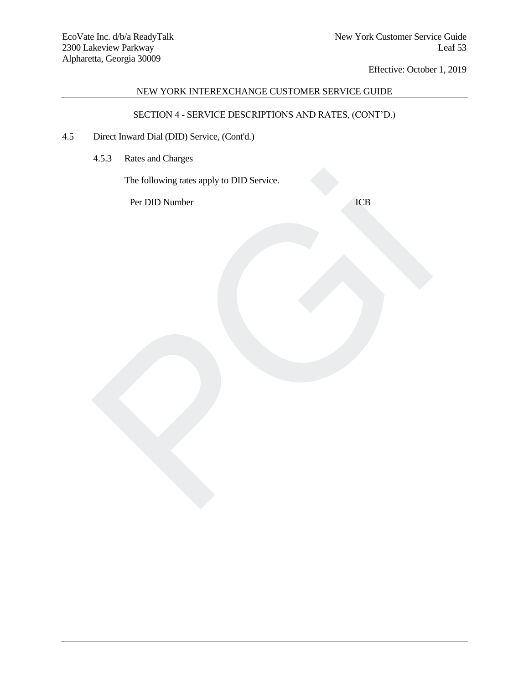# NEW YORK INTEREXCHANGE CUSTOMER SERVICE GUIDE

# SECTION 4 - SERVICE DESCRIPTIONS AND RATES, (CONT'D.)

- 4.5 Direct Inward Dial (DID) Service, (Cont'd.)
	- 4.5.3 Rates and Charges

The following rates apply to DID Service. The following rates apply to DID Service.<br>Per DID Number<br>And the service of the service of the service of the service of the service of the service of the service of the service of the service of the service of the service

Per DID Number **ICB**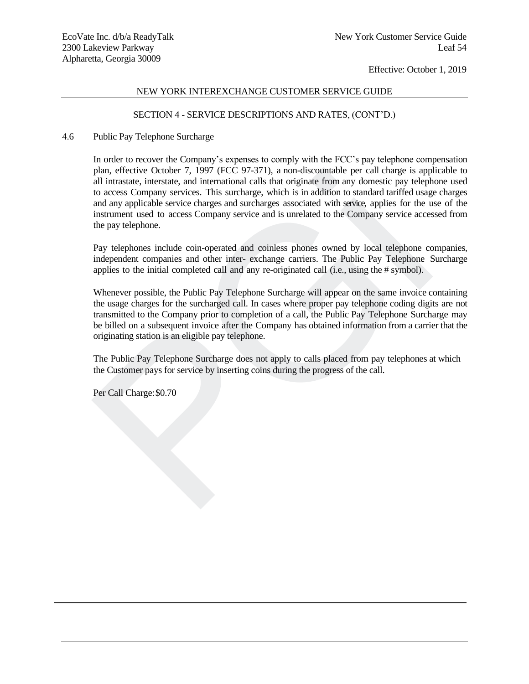# NEW YORK INTEREXCHANGE CUSTOMER SERVICE GUIDE

## SECTION 4 - SERVICE DESCRIPTIONS AND RATES, (CONT'D.)

## 4.6 Public Pay Telephone Surcharge

In order to recover the Company's expenses to comply with the FCC's pay telephone compensation plan, effective October 7, 1997 (FCC 97-371), a non-discountable per call charge is applicable to all intrastate, interstate, and international calls that originate from any domestic pay telephone used to access Company services. This surcharge, which is in addition to standard tariffed usage charges and any applicable service charges and surcharges associated with service, applies for the use of the instrument used to access Company service and is unrelated to the Company service accessed from the pay telephone. plan, effective October 7, 1997 (FCC 97-371), a non-discountable per call charge is app<br>all intrastate, interstate, and international calls that originate from any domestic pay telephon<br>to access Company services. This suc

Pay telephones include coin-operated and coinless phones owned by local telephone companies, independent companies and other inter- exchange carriers. The Public Pay Telephone Surcharge applies to the initial completed call and any re-originated call (i.e., using the # symbol).

Whenever possible, the Public Pay Telephone Surcharge will appear on the same invoice containing the usage charges for the surcharged call. In cases where proper pay telephone coding digits are not transmitted to the Company prior to completion of a call, the Public Pay Telephone Surcharge may be billed on a subsequent invoice after the Company has obtained information from a carrier that the originating station is an eligible pay telephone.

The Public Pay Telephone Surcharge does not apply to calls placed from pay telephones at which the Customer pays for service by inserting coins during the progress of the call.

Per Call Charge:\$0.70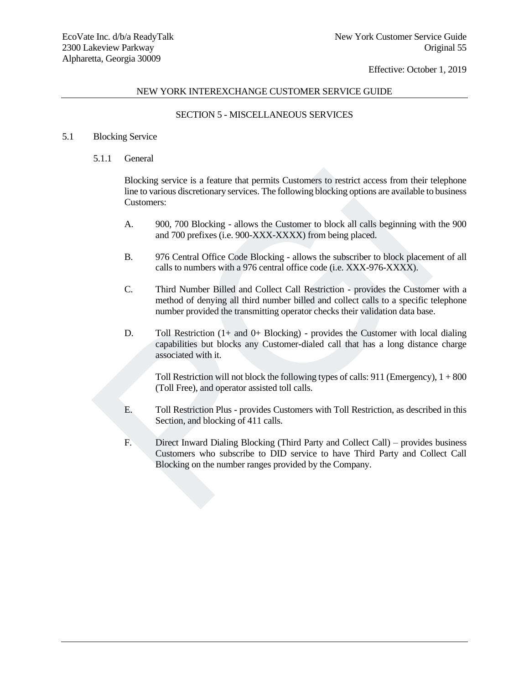## NEW YORK INTEREXCHANGE CUSTOMER SERVICE GUIDE

## SECTION 5 - MISCELLANEOUS SERVICES

## 5.1 Blocking Service

# 5.1.1 General

Blocking service is a feature that permits Customers to restrict access from their telephone line to various discretionary services. The following blocking options are available to business Customers:

- A. 900, 700 Blocking allows the Customer to block all calls beginning with the 900 and 700 prefixes (i.e. 900-XXX-XXXX) from being placed.
- B. 976 Central Office Code Blocking allows the subscriber to block placement of all calls to numbers with a 976 central office code (i.e. XXX-976-XXXX).
- C. Third Number Billed and Collect Call Restriction provides the Customer with a method of denying all third number billed and collect calls to a specific telephone number provided the transmitting operator checks their validation data base.
- D. Toll Restriction  $(1+$  and  $0+$  Blocking) provides the Customer with local dialing capabilities but blocks any Customer-dialed call that has a long distance charge associated with it.

Toll Restriction will not block the following types of calls: 911 (Emergency), 1 + 800 (Toll Free), and operator assisted toll calls.

- E. Toll Restriction Plus provides Customers with Toll Restriction, as described in this Section, and blocking of 411 calls.
- F. Direct Inward Dialing Blocking (Third Party and Collect Call) provides business Customers who subscribe to DID service to have Third Party and Collect Call Blocking on the number ranges provided by the Co mpany.Blocking service is a feature that permits Customers to restrict access from their tine to various discretionary services. The following blocking options are available to Customers:<br>
A. 900, 700 Blocking - allows the Custo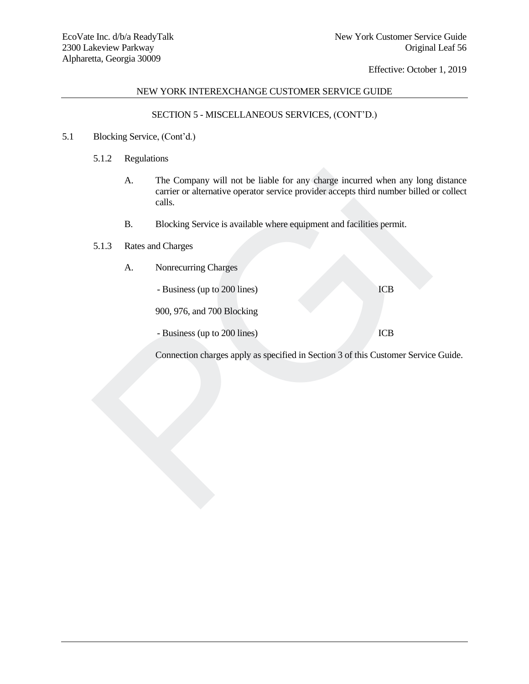# NEW YORK INTEREXCHANGE CUSTOMER SERVICE GUIDE

## SECTION 5 - MISCELLANEOUS SERVICES, (CONT'D.)

- 5.1 Blocking Service, (Cont'd.)
	- 5.1.2 Regulations
	- A. The Company will not be liable for any charge incurred when any long distance carrier or alternative operator service provider accepts third number billed or collect calls. A. The Company will not be liable for any charge incurred when any long<br>carrier or alternative operator service provider accepts third number billed<br>calls.<br>B. Blocking Service is available where equipment and facilities pe
		- B. Blocking Service is available where equipment and facilities permit.
	- 5.1.3 Rates and Charges
		- A. Nonrecurring Charges

- Business (up to 200 lines) ICB

900, 976, and 700 Blocking

- Business (up to 200 lines) ICB

Connection charges apply as specified in Section 3 of this Customer Service Guide.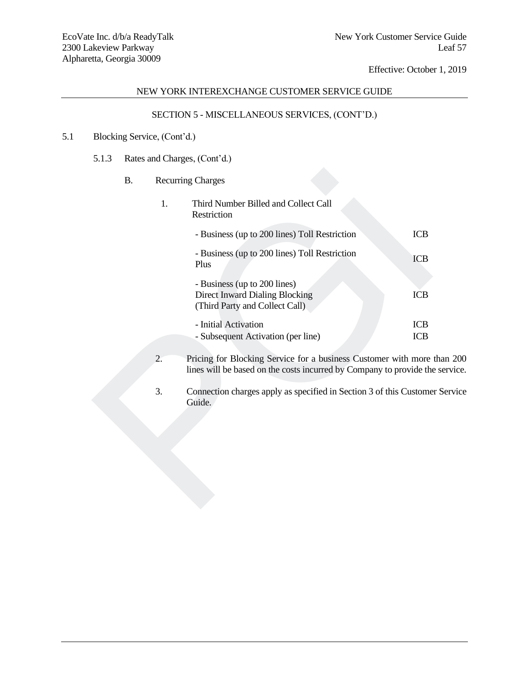# NEW YORK INTEREXCHANGE CUSTOMER SERVICE GUIDE

# SECTION 5 - MISCELLANEOUS SERVICES, (CONT'D.)

# 5.1 Blocking Service, (Cont'd.)

# 5.1.3 Rates and Charges, (Cont'd.)

| <b>B.</b> |    | <b>Recurring Charges</b>                                                                                                                |                          |
|-----------|----|-----------------------------------------------------------------------------------------------------------------------------------------|--------------------------|
|           | 1. | Third Number Billed and Collect Call<br>Restriction                                                                                     |                          |
|           |    | - Business (up to 200 lines) Toll Restriction                                                                                           | <b>ICB</b>               |
|           |    | - Business (up to 200 lines) Toll Restriction<br>Plus                                                                                   | <b>ICB</b>               |
|           |    | - Business (up to 200 lines)<br><b>Direct Inward Dialing Blocking</b><br>(Third Party and Collect Call)                                 | <b>ICB</b>               |
|           |    | - Initial Activation<br>- Subsequent Activation (per line)                                                                              | <b>ICB</b><br><b>ICB</b> |
|           | 2. | Pricing for Blocking Service for a business Customer with more t<br>lines will be based on the costs incurred by Company to provide the |                          |
|           | 3. | Connection charges apply as specified in Section 3 of this Customer<br>Guide.                                                           |                          |
|           |    |                                                                                                                                         |                          |
|           |    |                                                                                                                                         |                          |
|           |    |                                                                                                                                         |                          |

- 2. Pricing for Blocking Service for a business Customer with more than 200 lines will be based on the costs incurred by Company to provide the service.
- 3. Connection charges apply as specified in Section 3 of this Customer Service Guide.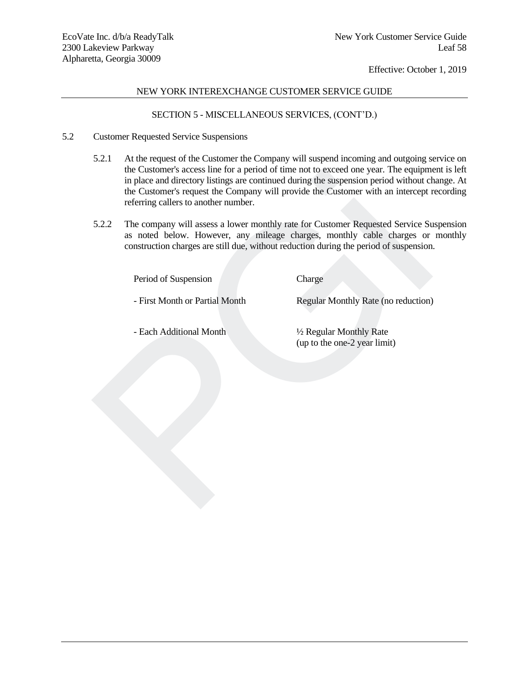# NEW YORK INTEREXCHANGE CUSTOMER SERVICE GUIDE

## SECTION 5 - MISCELLANEOUS SERVICES, (CONT'D.)

## 5.2 Customer Requested Service Suspensions

- 5.2.1 At the request of the Customer the Company will suspend incoming and outgoing service on the Customer's access line for a period of time not to exceed one year. The equipment is left in place and directory listings are continued during the suspension period without change. At the Customer's request the Company will provide the Customer with an intercept recording referring callers to another number. the Customers access the for a period of time not to exceed one year. The equipment in place and directory listings are continued during the suspension period without cl<br>the Customer's request the Company will provide the
- 5.2.2 The company will assess a lower monthly rate for Customer Requested Service Suspension as noted below. However, any mileage charges, monthly cable charges or monthly construction charges are still due, without reduction during the period of suspension.

Period of Suspension Charge

- First Month or Partial Month Regular Monthly Rate (no reduction)

- Each Additional Month

½ Regular Monthly Rate (up to the one-2 year limit)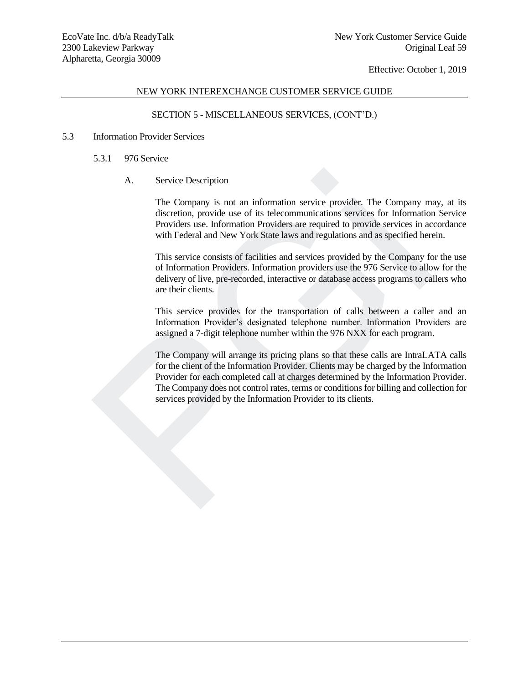# NEW YORK INTEREXCHANGE CUSTOMER SERVICE GUIDE

# SECTION 5 - MISCELLANEOUS SERVICES, (CONT'D.)

## 5.3 Information Provider Services

# 5.3.1 976 Service

# A. Service Description

The Company is not an information service provider. The Company may, at its discretion, provide use of its telecommunications services for Information Service Providers use. Information Providers are required to provide services in accordance with Federal and New York State laws and regulations and as specified herein.

This service consists of facilities and services provided by the Company for the use of Information Providers. Information providers use the 976 Service to allow for the delivery of live, pre-recorded, interactive or database access programs to callers who are their clients.

This service provides for the transportation of calls between a caller and an Information Provider's designated telephone number. Information Providers are assigned a 7-digit telephone number within the 976 NXX for each program.

The Company will arrange its pricing plans so that these calls are IntraLATA calls for the client of the Information Provider. Clients may be charged by the Information Provider for each completed call at charges determined by the Information Provider. The Company does not control rates, terms or conditions for billing and collection for services provided by the Information Provider to its clients. A. Service Description<br>The Company is not an information service provider. The Company m<br>discretion, provide use of its telecommunications services for Information<br>Provides use. Information Provides are required to provide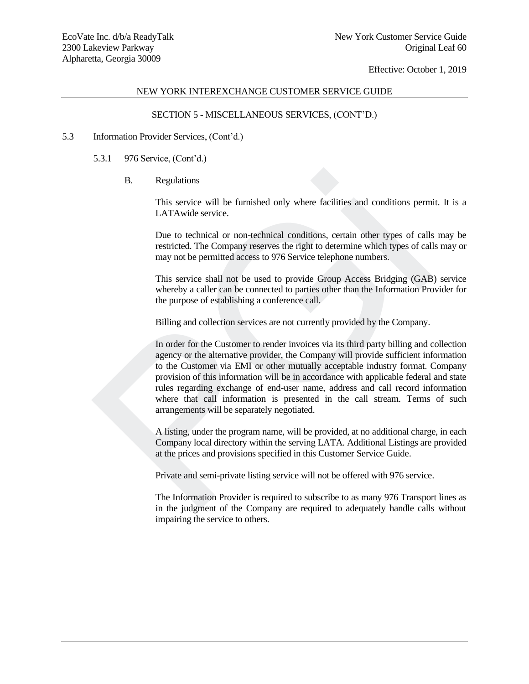# NEW YORK INTEREXCHANGE CUSTOMER SERVICE GUIDE

# SECTION 5 - MISCELLANEOUS SERVICES, (CONT'D.)

## 5.3 Information Provider Services, (Cont'd.)

- 5.3.1 976 Service, (Cont'd.)
	- B. Regulations

This service will be furnished only where facilities and conditions permit. It is a LATAwide service.

Due to technical or non-technical conditions, certain other types of calls may be restricted. The Company reserves the right to determine which types of calls may or may not be permitted access to 976 Service telephone numbers.

This service shall not be used to provide Group Access Bridging (GAB) service whereby a caller can be connected to parties other than the Information Provider for the purpose of establishing a conference call.

Billing and collection services are not currently provided by the Company.

In order for the Customer to render invoices via its third party billing and collection agency or the alternative provider, the Company will provide sufficient information to the Customer via EMI or other mutually acceptable industry format. Company provision of this information will be in accordance with applicable federal and state rules regarding exchange of end-user name, address and call record information where that call information is presented in the call stream. Terms of such arrangements will be separately negotiated. B.<br>
Regulations<br>
This service will be furnished only where facilities and conditions perm<br>
LATAwide service.<br>
Due to technical or non-technical conditions, certain other types of call<br>
restricted. The Company reserves the

A listing, under the program name, will be provided, at no additional charge, in each Company local directory within the serving LATA. Additional Listings are provided at the prices and provisions specified in this Customer Service Guide.

Private and semi-private listing service will not be offered with 976 service.

The Information Provider is required to subscribe to as many 976 Transport lines as in the judgment of the Company are required to adequately handle calls without impairing the service to others.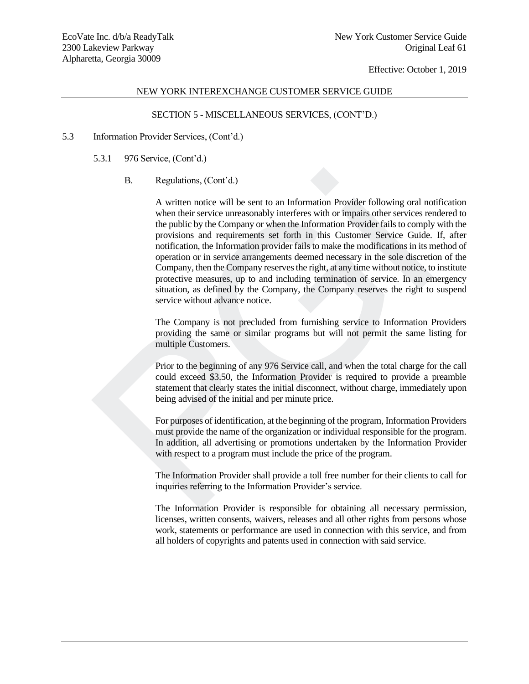# NEW YORK INTEREXCHANGE CUSTOMER SERVICE GUIDE

# SECTION 5 - MISCELLANEOUS SERVICES, (CONT'D.)

## 5.3 Information Provider Services, (Cont'd.)

5.3.1 976 Service, (Cont'd.)

# B. Regulations, (Cont'd.)

A written notice will be sent to an Information Provider following oral notification when their service unreasonably interferes with or impairs other services rendered to the public by the Company or when the Information Provider fails to comply with the provisions and requirements set forth in this Customer Service Guide. If, after notification, the Information provider fails to make the modifications in its method of operation or in service arrangements deemed necessary in the sole discretion of the Company, then the Company reserves the right, at any time without notice, to institute protective measures, up to and including termination of service. In an emergency situation, as defined by the Company, the Company reserves the right to suspend service without advance notice. B. Regulations, (Cont'd.)<br>
A written notice will be sent to an Information Provider following oral not<br>
when their service unreasonably interferes with or impairs other services re<br>
the public by the Company or when the I

The Company is not precluded from furnishing service to Information Providers providing the same or similar programs but will not permit the same listing for multiple Customers.

Prior to the beginning of any 976 Service call, and when the total charge for the call could exceed \$3.50, the Information Provider is required to provide a preamble statement that clearly states the initial disconnect, without charge, immediately upon being advised of the initial and per minute price.

For purposes of identification, at the beginning of the program, Information Providers must provide the name of the organization or individual responsible for the program. In addition, all advertising or promotions undertaken by the Information Provider with respect to a program must include the price of the program.

The Information Provider shall provide a toll free number for their clients to call for inquiries referring to the Information Provider's service.

The Information Provider is responsible for obtaining all necessary permission, licenses, written consents, waivers, releases and all other rights from persons whose work, statements or performance are used in connection with this service, and from all holders of copyrights and patents used in connection with said service.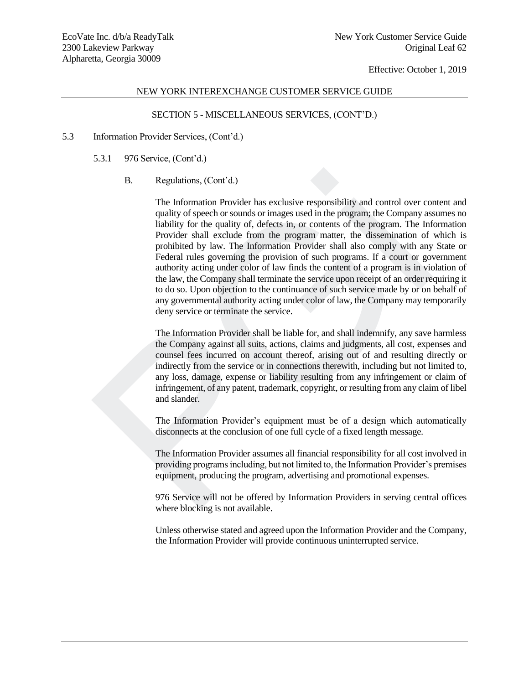## NEW YORK INTEREXCHANGE CUSTOMER SERVICE GUIDE

# SECTION 5 - MISCELLANEOUS SERVICES, (CONT'D.)

#### 5.3 Information Provider Services, (Cont'd.)

5.3.1 976 Service, (Cont'd.)

# B. Regulations, (Cont'd.)

The Information Provider has exclusive responsibility and control over content and quality of speech or sounds or images used in the program; the Company assumes no liability for the quality of, defects in, or contents of the program. The Information Provider shall exclude from the program matter, the dissemination of which is prohibited by law. The Information Provider shall also comply with any State or Federal rules governing the provision of such programs. If a court or government authority acting under color of law finds the content of a program is in violation of the law, the Company shall terminate the service upon receipt of an order requiring it to do so. Upon objection to the continuance of such service made by or on behalf of any governmental authority acting under color of law, the Company may temporarily deny service or terminate the service. B. Regulations, (Cont'd.)<br>The Information Provider has exclusive responsibility and control over co<br>quality of speech or sounds or images used in the program; the Company as<br>liability for the quality of, defects in, or co

The Information Provider shall be liable for, and shall indemnify, any save harmless the Company against all suits, actions, claims and judgments, all cost, expenses and counsel fees incurred on account thereof, arising out of and resulting directly or indirectly from the service or in connections therewith, including but not limited to, any loss, damage, expense or liability resulting from any infringement or claim of infringement, of any patent, trademark, copyright, or resulting from any claim of libel and slander.

The Information Provider's equipment must be of a design which automatically disconnects at the conclusion of one full cycle of a fixed length message.

The Information Provider assumes all financial responsibility for all cost involved in providing programs including, but not limited to, the Information Provider's premises equipment, producing the program, advertising and promotional expenses.

976 Service will not be offered by Information Providers in serving central offices where blocking is not available.

Unless otherwise stated and agreed upon the Information Provider and the Company, the Information Provider will provide continuous uninterrupted service.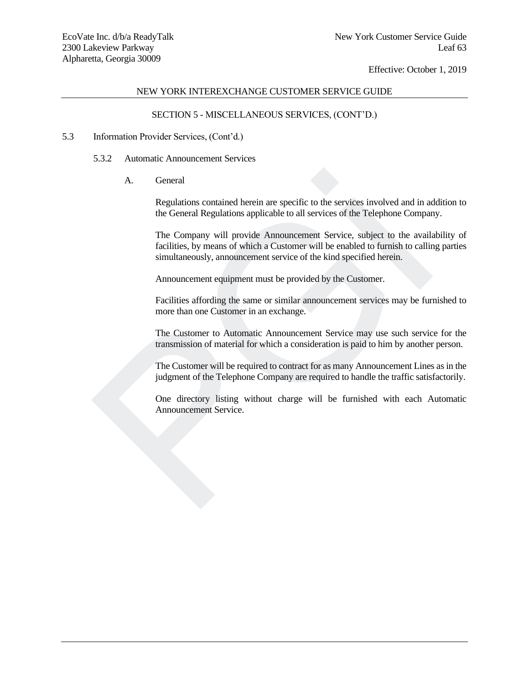# NEW YORK INTEREXCHANGE CUSTOMER SERVICE GUIDE

# SECTION 5 - MISCELLANEOUS SERVICES, (CONT'D.)

## 5.3 Information Provider Services, (Cont'd.)

- 5.3.2 Automatic Announcement Services
	- A. General

Regulations contained herein are specific to the services involved and in addition to the General Regulations applicable to all services of the Telephone Company.

The Company will provide Announcement Service, subject to the availability of facilities, by means of which a Customer will be enabled to furnish to calling parties simultaneously, announcement service of the kind specified herein. A. General<br>Regulations contained herein are specific to the services involved and in a<br>the General Regulations applicable to all services of the Telephone Compar<br>The Company will provide Amouncement Service, subject to the

Announcement equipment must be provided by the Customer.

Facilities affording the same or similar announcement services may be furnished to more than one Customer in an exchange.

The Customer to Automatic Announcement Service may use such service for the transmission of material for which a consideration is paid to him by another person.

The Customer will be required to contract for as many Announcement Lines as in the judgment of the Telephone Company are required to handle the traffic satisfactorily.

One directory listing without charge will be furnished with each Automatic Announcement Service.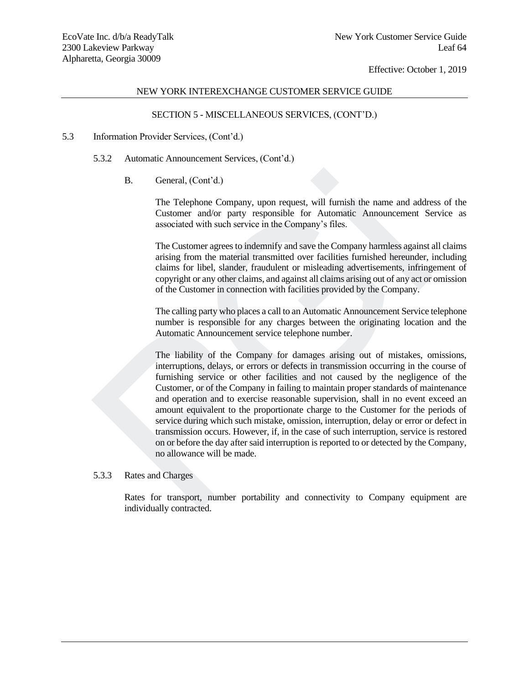## NEW YORK INTEREXCHANGE CUSTOMER SERVICE GUIDE

## SECTION 5 - MISCELLANEOUS SERVICES, (CONT'D.)

#### 5.3 Information Provider Services, (Cont'd.)

- 5.3.2 Automatic Announcement Services, (Cont'd.)
	- B. General, (Cont'd.)

The Telephone Company, upon request, will furnish the name and address of the Customer and/or party responsible for Automatic Announcement Service as associated with such service in the Company's files.

The Customer agrees to indemnify and save the Company harmless against all claims arising from the material transmitted over facilities furnished hereunder, including claims for libel, slander, fraudulent or misleading advertisements, infringement of copyright or any other claims, and against all claims arising out of any act or omission of the Customer in connection with facilities provided by the Company.

The calling party who places a call to an Automatic Announcement Service telephone number is responsible for any charges between the originating location and the Automatic Announcement service telephone number.

The liability of the Company for damages arising out of mistakes, omissions, interruptions, delays, or errors or defects in transmission occurring in the course of furnishing service or other facilities and not caused by the negligence of the Customer, or of the Company in failing to maintain proper standards of maintenance and operation and to exercise reasonable supervision, shall in no event exceed an amount equivalent to the proportionate charge to the Customer for the periods of service during which such mistake, omission, interruption, delay or error or defect in transmission occurs. However, if, in the case of such interruption, service is restored on or before the day after said interruption is reported to or detected by the Company, no allowance will be made. B. General, (Cont'd.)<br>The Telephone Company, upon request, will furnish the name and addre<br>Customer and/or party responsible for Automatic Announcement Se<br>associated with such service in the Company's files.<br>The Customer a

5.3.3 Rates and Charges

Rates for transport, number portability and connectivity to Company equipment are individually contracted.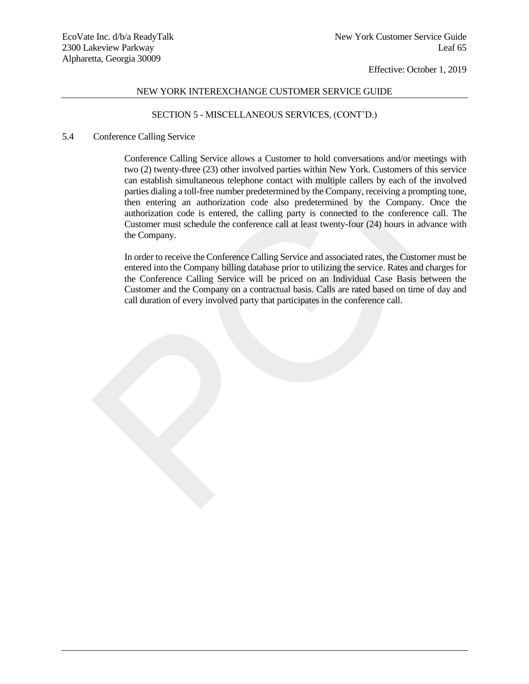## NEW YORK INTEREXCHANGE CUSTOMER SERVICE GUIDE

## SECTION 5 - MISCELLANEOUS SERVICES, (CONT'D.)

#### 5.4 Conference Calling Service

Conference Calling Service allows a Customer to hold conversations and/or meetings with two (2) twenty-three (23) other involved parties within New York. Customers of this service can establish simultaneous telephone contact with multiple callers by each of the involved parties dialing a toll-free number predetermined by the Company, receiving a prompting tone, then entering an authorization code also predetermined by the Company. Once the authorization code is entered, the calling party is connected to the conference call. The Customer must schedule the conference call at least twenty-four (24) hours in advance with the Company. two (2) twenty-tinee (23) other involved parties within New York. Customers of the particular can establish simultaneous telephone contact with multiple callers by each of the parties dialing a toll-free number predetermin

In order to receive the Conference Calling Service and associated rates, the Customer must be entered into the Company billing database prior to utilizing the service. Rates and charges for the Conference Calling Service will be priced on an Individual Case Basis between the Customer and the Company on a contractual basis. Calls are rated based on time of day and call duration of every involved party that participates in the conference call.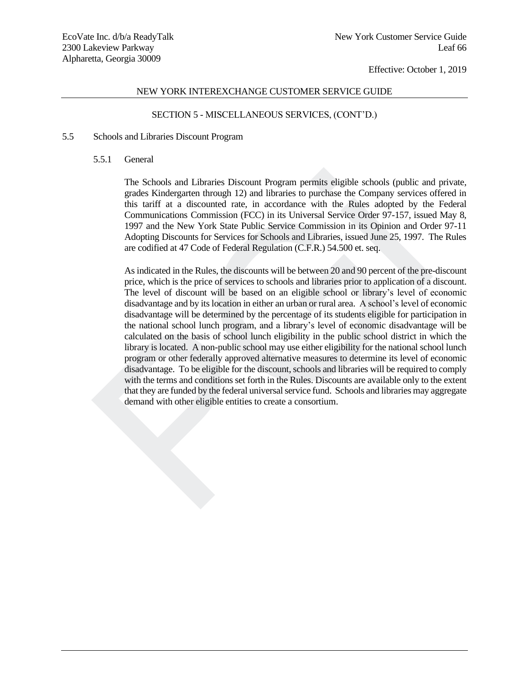## NEW YORK INTEREXCHANGE CUSTOMER SERVICE GUIDE

## SECTION 5 - MISCELLANEOUS SERVICES, (CONT'D.)

#### 5.5 Schools and Libraries Discount Program

#### 5.5.1 General

The Schools and Libraries Discount Program permits eligible schools (public and private, grades Kindergarten through 12) and libraries to purchase the Company services offered in this tariff at a discounted rate, in accordance with the Rules adopted by the Federal Communications Commission (FCC) in its Universal Service Order 97-157, issued May 8, 1997 and the New York State Public Service Commission in its Opinion and Order 97-11 Adopting Discounts for Services for Schools and Libraries, issued June 25, 1997. The Rules are codified at 47 Code of Federal Regulation (C.F.R.) 54.500 et. seq.

As indicated in the Rules, the discounts will be between 20 and 90 percent of the pre-discount price, which is the price of services to schools and libraries prior to application of a discount. The level of discount will be based on an eligible school or library's level of economic disadvantage and by its location in either an urban or rural area. A school's level of economic disadvantage will be determined by the percentage of its students eligible for participation in the national school lunch program, and a library's level of economic disadvantage will be calculated on the basis of school lunch eligibility in the public school district in which the library is located. A non-public school may use either eligibility for the national school lunch program or other federally approved alternative measures to determine its level of economic disadvantage. To be eligible for the discount, schools and libraries will be required to comply with the terms and conditions set forth in the Rules. Discounts are available only to the extent that they are funded by the federal universal service fund. Schools and libraries may aggregate demand with other eligible entities to create a consortium. The Schools and Libraries Discount Program permits eligible schools (public an grades Kindergarten through 12) and libraries to purchase the Company services et this teatrif at a also<br>control cate, in accordance with the R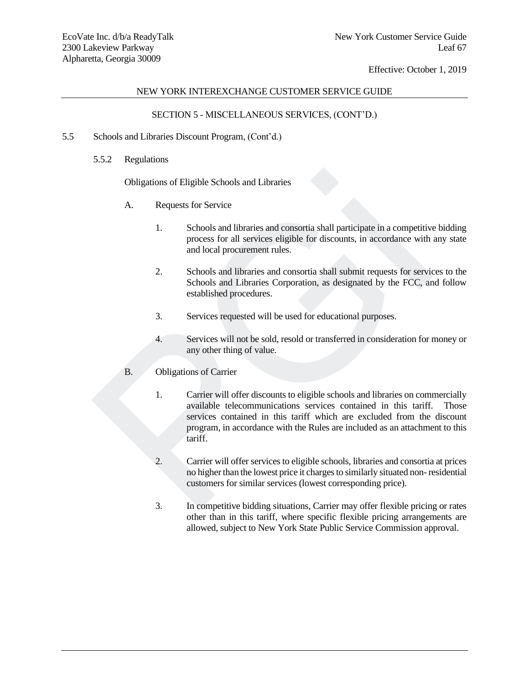# NEW YORK INTEREXCHANGE CUSTOMER SERVICE GUIDE

# SECTION 5 - MISCELLANEOUS SERVICES, (CONT'D.)

# 5.5 Schools and Libraries Discount Program, (Cont'd.)

5.5.2 Regulations

Obligations of Eligible Schools and Libraries

- A. Requests for Service
	- 1. Schools and libraries and consortia shall participate in a competitive bidding process for all services eligible for discounts, in accordance with any state and local procurement rules.
	- 2. Schools and libraries and consortia shall submit requests for services to the Schools and Libraries Corporation, as designated by the FCC, and follow established procedures.
	- 3. Services requested will be used for educational purposes.
	- 4. Services will not be sold, resold or transferred in consideration for money or any other thing of value.

# B. Obligations of Carrier

- 1. Carrier will offer discounts to eligible schools and libraries on commercially available telecommunications services contained in this tariff. Those services contained in this tariff which are excluded from the discount program, in accordance with the Rules are included as an attachment to this tariff. Obligations of Eligible Schools and Libraries<br>
A. Requests for Service<br>
1. Schools and libraries and consortia shall participate in a competitive<br>
process for all services eligible for discounts, in accordance with<br>
2. Sch
	- 2. Carrier will offer services to eligible schools, libraries and consortia at prices no higher than the lowest price it charges to similarly situated non- residential customers for similar services (lowest corresponding price).
	- 3. In competitive bidding situations, Carrier may offer flexible pricing or rates other than in this tariff, where specific flexible pricing arrangements are allowed, subject to New York State Public Service Commission approval.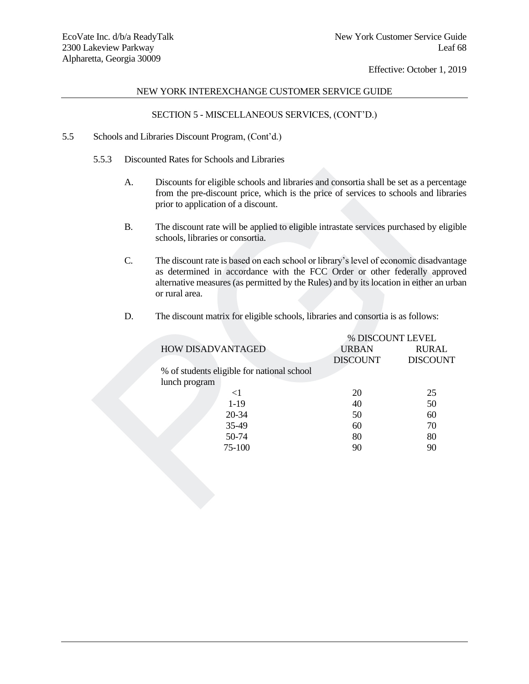# NEW YORK INTEREXCHANGE CUSTOMER SERVICE GUIDE

# SECTION 5 - MISCELLANEOUS SERVICES, (CONT'D.)

- 5.5 Schools and Libraries Discount Program, (Cont'd.)
	- 5.5.3 Discounted Rates for Schools and Libraries
		- A. Discounts for eligible schools and libraries and consortia shall be set as a percentage from the pre-discount price, which is the price of services to schools and libraries prior to application of a discount.
		- B. The discount rate will be applied to eligible intrastate services purchased by eligible schools, libraries or consortia.
		- C. The discount rate is based on each school or library's level of economic disadvantage as determined in accordance with the FCC Order or other federally approved alternative measures (as permitted by the Rules) and by its location in either an urban or rural area.

| A.        | Discounts for eligible schools and libraries and consortia shall be set as a percental<br>from the pre-discount price, which is the price of services to schools and librar<br>prior to application of a discount.                                                         |                 |                  |  |
|-----------|----------------------------------------------------------------------------------------------------------------------------------------------------------------------------------------------------------------------------------------------------------------------------|-----------------|------------------|--|
| <b>B.</b> | The discount rate will be applied to eligible intrastate services purchased by eligi<br>schools, libraries or consortia.                                                                                                                                                   |                 |                  |  |
| C.        | The discount rate is based on each school or library's level of economic disadvanta<br>as determined in accordance with the FCC Order or other federally approv<br>alternative measures (as permitted by the Rules) and by its location in either an urb<br>or rural area. |                 |                  |  |
| D.        | The discount matrix for eligible schools, libraries and consortia is as follows:                                                                                                                                                                                           |                 |                  |  |
|           |                                                                                                                                                                                                                                                                            |                 | % DISCOUNT LEVEL |  |
|           | HOW DISADVANTAGED                                                                                                                                                                                                                                                          | <b>URBAN</b>    | <b>RURAL</b>     |  |
|           |                                                                                                                                                                                                                                                                            | <b>DISCOUNT</b> | <b>DISCOUNT</b>  |  |
|           | % of students eligible for national school                                                                                                                                                                                                                                 |                 |                  |  |
|           | lunch program                                                                                                                                                                                                                                                              |                 |                  |  |
|           | <1                                                                                                                                                                                                                                                                         | 20              | 25               |  |
|           | $1-19$                                                                                                                                                                                                                                                                     | 40              | 50               |  |
|           | 20-34                                                                                                                                                                                                                                                                      | 50              | 60               |  |
|           | 35-49                                                                                                                                                                                                                                                                      | 60              | 70               |  |
|           | 50-74                                                                                                                                                                                                                                                                      | 80              | 80               |  |
|           | 75-100                                                                                                                                                                                                                                                                     | 90              | 90               |  |
|           |                                                                                                                                                                                                                                                                            |                 |                  |  |
|           |                                                                                                                                                                                                                                                                            |                 |                  |  |
|           |                                                                                                                                                                                                                                                                            |                 |                  |  |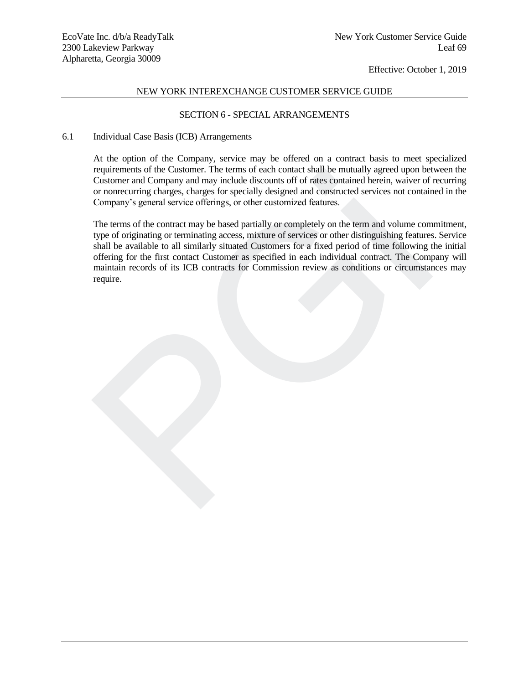# NEW YORK INTEREXCHANGE CUSTOMER SERVICE GUIDE

## SECTION 6 - SPECIAL ARRANGEMENTS

#### 6.1 Individual Case Basis (ICB) Arrangements

At the option of the Company, service may be offered on a contract basis to meet specialized requirements of the Customer. The terms of each contact shall be mutually agreed upon between the Customer and Company and may include discounts off of rates contained herein, waiver of recurring or nonrecurring charges, charges for specially designed and constructed services not contained in the Company's general service offerings, or other customized features.

The terms of the contract may be based partially or completely on the term and volume commitment, type of originating or terminating access, mixture of services or other distinguishing features. Service shall be available to all similarly situated Customers for a fixed period of time following the initial offering for the first contact Customer as specified in each individual contract. The Company will maintain records of its ICB contracts for Commission review as conditions or circumstances may require. requirements of the Customer. The terms of each contact shall be multually agreed upon bet<br>Customer and Company and may include discounts off of rates contained herein, waiver of<br>or nonrecurring charges, charges for specia